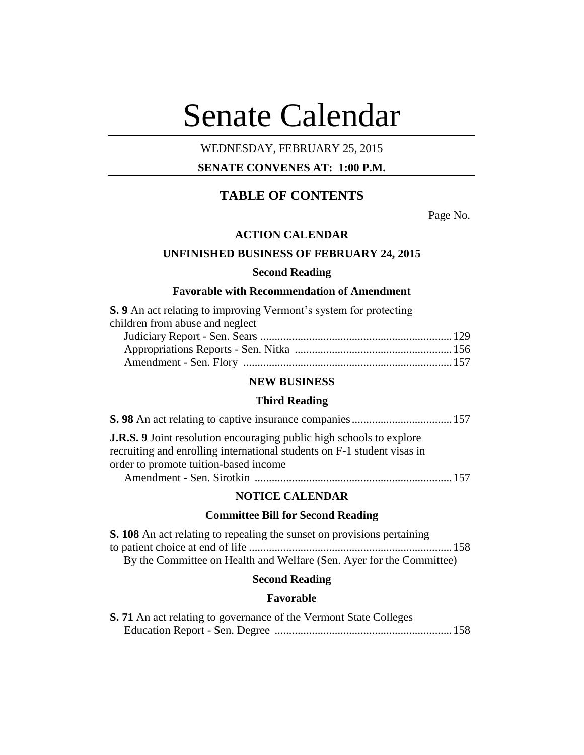# Senate Calendar

## WEDNESDAY, FEBRUARY 25, 2015

## **SENATE CONVENES AT: 1:00 P.M.**

# **TABLE OF CONTENTS**

Page No.

## **ACTION CALENDAR**

## **UNFINISHED BUSINESS OF FEBRUARY 24, 2015**

### **Second Reading**

## **Favorable with Recommendation of Amendment**

| S. 9 An act relating to improving Vermont's system for protecting |  |
|-------------------------------------------------------------------|--|
| children from abuse and neglect                                   |  |
|                                                                   |  |
|                                                                   |  |
|                                                                   |  |

## **NEW BUSINESS**

#### **Third Reading**

| <b>J.R.S.</b> 9 Joint resolution encouraging public high schools to explore |  |
|-----------------------------------------------------------------------------|--|
| recruiting and enrolling international students on F-1 student visas in     |  |
| order to promote tuition-based income                                       |  |
|                                                                             |  |

#### **NOTICE CALENDAR**

## **Committee Bill for Second Reading**

| <b>S. 108</b> An act relating to repealing the sunset on provisions pertaining |  |
|--------------------------------------------------------------------------------|--|
|                                                                                |  |
| By the Committee on Health and Welfare (Sen. Ayer for the Committee)           |  |

## **Second Reading**

## **Favorable**

| S. 71 An act relating to governance of the Vermont State Colleges |  |
|-------------------------------------------------------------------|--|
|                                                                   |  |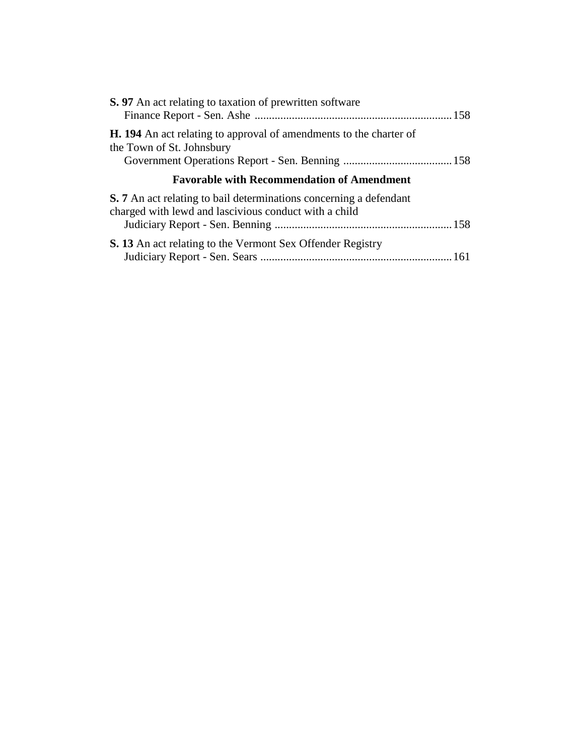| <b>S.</b> 97 An act relating to taxation of prewritten software                                                                    |  |
|------------------------------------------------------------------------------------------------------------------------------------|--|
| <b>H. 194</b> An act relating to approval of amendments to the charter of<br>the Town of St. Johnsbury                             |  |
| <b>Favorable with Recommendation of Amendment</b>                                                                                  |  |
| <b>S.</b> 7 An act relating to bail determinations concerning a defendant<br>charged with lewd and lascivious conduct with a child |  |
| <b>S. 13</b> An act relating to the Vermont Sex Offender Registry                                                                  |  |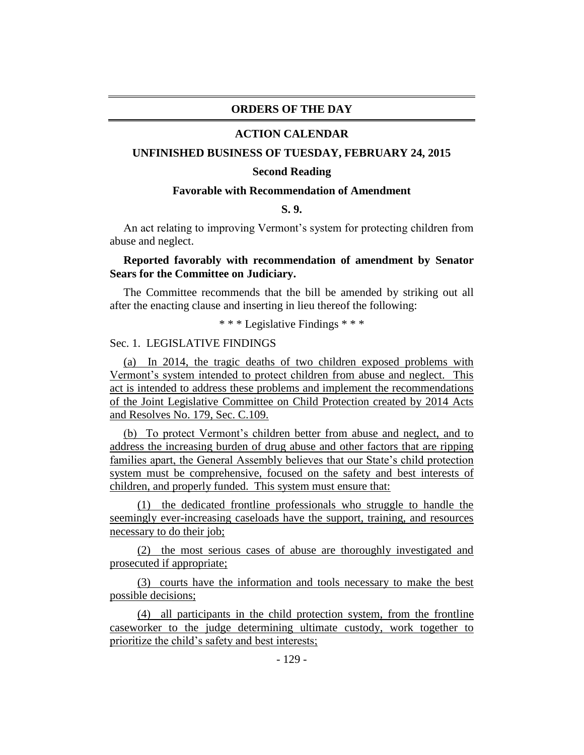#### **ORDERS OF THE DAY**

#### **ACTION CALENDAR**

#### **UNFINISHED BUSINESS OF TUESDAY, FEBRUARY 24, 2015**

#### **Second Reading**

#### **Favorable with Recommendation of Amendment**

#### **S. 9.**

An act relating to improving Vermont's system for protecting children from abuse and neglect.

## **Reported favorably with recommendation of amendment by Senator Sears for the Committee on Judiciary.**

The Committee recommends that the bill be amended by striking out all after the enacting clause and inserting in lieu thereof the following:

\* \* \* Legislative Findings \* \* \*

### Sec. 1. LEGISLATIVE FINDINGS

(a) In 2014, the tragic deaths of two children exposed problems with Vermont's system intended to protect children from abuse and neglect. This act is intended to address these problems and implement the recommendations of the Joint Legislative Committee on Child Protection created by 2014 Acts and Resolves No. 179, Sec. C.109.

(b) To protect Vermont's children better from abuse and neglect, and to address the increasing burden of drug abuse and other factors that are ripping families apart, the General Assembly believes that our State's child protection system must be comprehensive, focused on the safety and best interests of children, and properly funded. This system must ensure that:

(1) the dedicated frontline professionals who struggle to handle the seemingly ever-increasing caseloads have the support, training, and resources necessary to do their job;

(2) the most serious cases of abuse are thoroughly investigated and prosecuted if appropriate;

(3) courts have the information and tools necessary to make the best possible decisions;

(4) all participants in the child protection system, from the frontline caseworker to the judge determining ultimate custody, work together to prioritize the child's safety and best interests;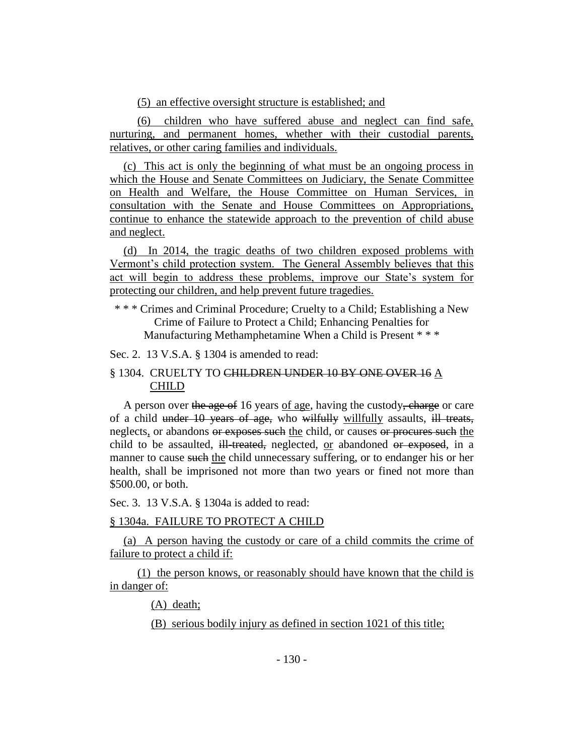(5) an effective oversight structure is established; and

(6) children who have suffered abuse and neglect can find safe, nurturing, and permanent homes, whether with their custodial parents, relatives, or other caring families and individuals.

(c) This act is only the beginning of what must be an ongoing process in which the House and Senate Committees on Judiciary, the Senate Committee on Health and Welfare, the House Committee on Human Services, in consultation with the Senate and House Committees on Appropriations, continue to enhance the statewide approach to the prevention of child abuse and neglect.

(d) In 2014, the tragic deaths of two children exposed problems with Vermont's child protection system. The General Assembly believes that this act will begin to address these problems, improve our State's system for protecting our children, and help prevent future tragedies.

\* \* \* Crimes and Criminal Procedure; Cruelty to a Child; Establishing a New Crime of Failure to Protect a Child; Enhancing Penalties for Manufacturing Methamphetamine When a Child is Present \* \* \*

Sec. 2. 13 V.S.A. § 1304 is amended to read:

## § 1304. CRUELTY TO CHILDREN UNDER 10 BY ONE OVER 16 A CHILD

A person over the age of 16 years of age, having the custody, charge or care of a child under 10 years of age, who wilfully willfully assaults, ill treats, neglects, or abandons or exposes such the child, or causes or procures such the child to be assaulted, ill-treated, neglected, or abandoned or exposed, in a manner to cause such the child unnecessary suffering, or to endanger his or her health, shall be imprisoned not more than two years or fined not more than \$500.00, or both.

Sec. 3. 13 V.S.A. § 1304a is added to read:

## § 1304a. FAILURE TO PROTECT A CHILD

(a) A person having the custody or care of a child commits the crime of failure to protect a child if:

(1) the person knows, or reasonably should have known that the child is in danger of:

(A) death;

(B) serious bodily injury as defined in section 1021 of this title;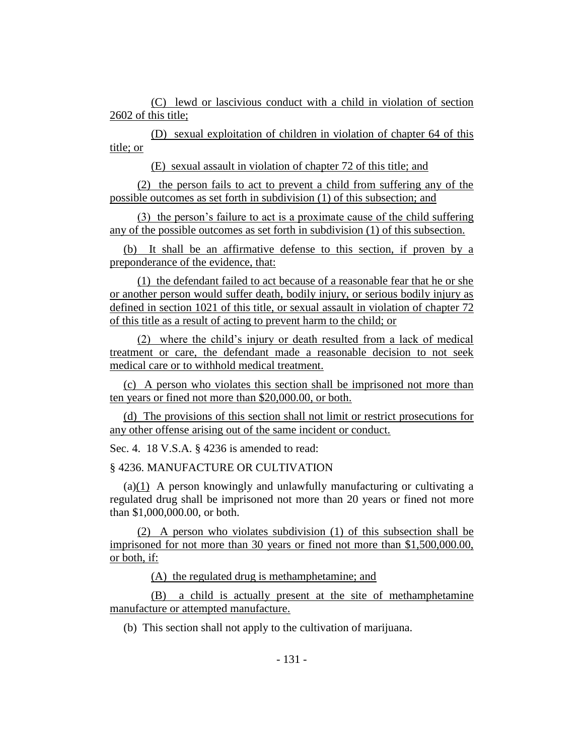(C) lewd or lascivious conduct with a child in violation of section 2602 of this title;

(D) sexual exploitation of children in violation of chapter 64 of this title; or

(E) sexual assault in violation of chapter 72 of this title; and

(2) the person fails to act to prevent a child from suffering any of the possible outcomes as set forth in subdivision (1) of this subsection; and

(3) the person's failure to act is a proximate cause of the child suffering any of the possible outcomes as set forth in subdivision (1) of this subsection.

(b) It shall be an affirmative defense to this section, if proven by a preponderance of the evidence, that:

(1) the defendant failed to act because of a reasonable fear that he or she or another person would suffer death, bodily injury, or serious bodily injury as defined in section 1021 of this title, or sexual assault in violation of chapter 72 of this title as a result of acting to prevent harm to the child; or

(2) where the child's injury or death resulted from a lack of medical treatment or care, the defendant made a reasonable decision to not seek medical care or to withhold medical treatment.

(c) A person who violates this section shall be imprisoned not more than ten years or fined not more than \$20,000.00, or both.

(d) The provisions of this section shall not limit or restrict prosecutions for any other offense arising out of the same incident or conduct.

Sec. 4. 18 V.S.A. § 4236 is amended to read:

§ 4236. MANUFACTURE OR CULTIVATION

(a)(1) A person knowingly and unlawfully manufacturing or cultivating a regulated drug shall be imprisoned not more than 20 years or fined not more than \$1,000,000.00, or both.

(2) A person who violates subdivision (1) of this subsection shall be imprisoned for not more than 30 years or fined not more than \$1,500,000.00, or both, if:

(A) the regulated drug is methamphetamine; and

(B) a child is actually present at the site of methamphetamine manufacture or attempted manufacture.

(b) This section shall not apply to the cultivation of marijuana.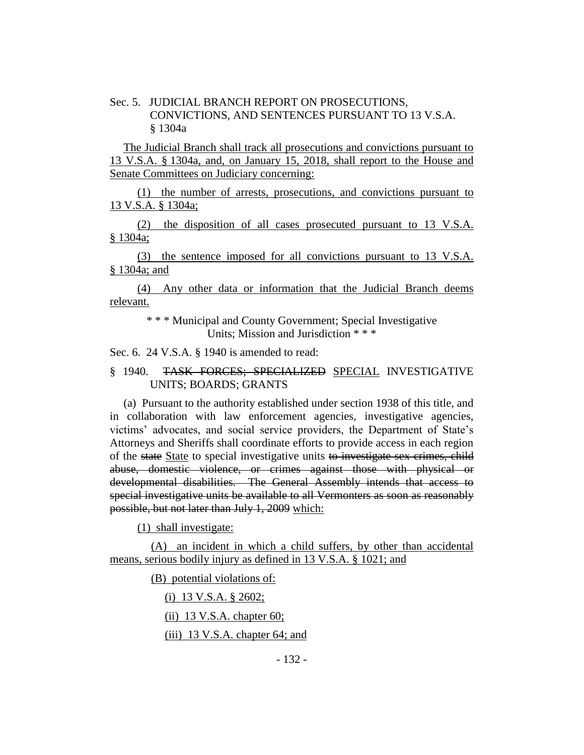Sec. 5. JUDICIAL BRANCH REPORT ON PROSECUTIONS, CONVICTIONS, AND SENTENCES PURSUANT TO 13 V.S.A. § 1304a

The Judicial Branch shall track all prosecutions and convictions pursuant to 13 V.S.A. § 1304a, and, on January 15, 2018, shall report to the House and Senate Committees on Judiciary concerning:

(1) the number of arrests, prosecutions, and convictions pursuant to 13 V.S.A. § 1304a;

(2) the disposition of all cases prosecuted pursuant to 13 V.S.A. § 1304a;

(3) the sentence imposed for all convictions pursuant to 13 V.S.A. § 1304a; and

(4) Any other data or information that the Judicial Branch deems relevant.

> \* \* \* [Municipal and County Government;](http://vtleg.bluehousegroup.com/statutes/title/24) Special Investigative Units; Mission and Jurisdiction \* \* \*

Sec. 6. 24 V.S.A. § 1940 is amended to read:

## § 1940. TASK FORCES; SPECIALIZED SPECIAL INVESTIGATIVE UNITS; BOARDS; GRANTS

(a) Pursuant to the authority established under section 1938 of this title, and in collaboration with law enforcement agencies, investigative agencies, victims' advocates, and social service providers, the Department of State's Attorneys and Sheriffs shall coordinate efforts to provide access in each region of the state State to special investigative units to investigate sex crimes, child abuse, domestic violence, or crimes against those with physical or developmental disabilities. The General Assembly intends that access to special investigative units be available to all Vermonters as soon as reasonably possible, but not later than July 1, 2009 which:

(1) shall investigate:

(A) an incident in which a child suffers, by other than accidental means, serious bodily injury as defined in 13 V.S.A. § 1021; and

(B) potential violations of:

(i) 13 V.S.A. § 2602;

 $(ii)$  13 V.S.A. chapter 60;

(iii) 13 V.S.A. chapter 64; and

- 132 -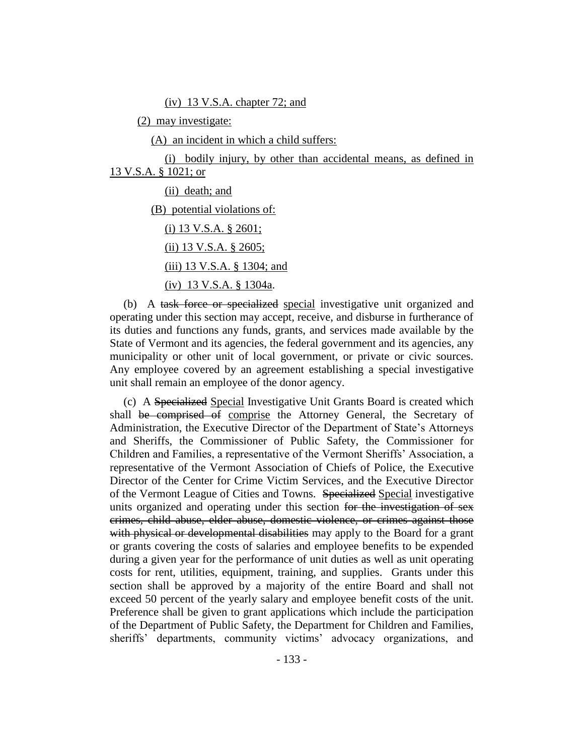(iv) 13 V.S.A. chapter 72; and

(2) may investigate:

(A) an incident in which a child suffers:

(i) bodily injury, by other than accidental means, as defined in 13 V.S.A. § 1021; or

(ii) death; and

(B) potential violations of:

(i) 13 V.S.A. § 2601;

(ii) 13 V.S.A. § 2605;

(iii) 13 V.S.A. § 1304; and

(iv) 13 V.S.A. § 1304a.

(b) A task force or specialized special investigative unit organized and operating under this section may accept, receive, and disburse in furtherance of its duties and functions any funds, grants, and services made available by the State of Vermont and its agencies, the federal government and its agencies, any municipality or other unit of local government, or private or civic sources. Any employee covered by an agreement establishing a special investigative unit shall remain an employee of the donor agency.

(c) A Specialized Special Investigative Unit Grants Board is created which shall be comprised of comprise the Attorney General, the Secretary of Administration, the Executive Director of the Department of State's Attorneys and Sheriffs, the Commissioner of Public Safety, the Commissioner for Children and Families, a representative of the Vermont Sheriffs' Association, a representative of the Vermont Association of Chiefs of Police, the Executive Director of the Center for Crime Victim Services, and the Executive Director of the Vermont League of Cities and Towns. Specialized Special investigative units organized and operating under this section for the investigation of sex crimes, child abuse, elder abuse, domestic violence, or crimes against those with physical or developmental disabilities may apply to the Board for a grant or grants covering the costs of salaries and employee benefits to be expended during a given year for the performance of unit duties as well as unit operating costs for rent, utilities, equipment, training, and supplies. Grants under this section shall be approved by a majority of the entire Board and shall not exceed 50 percent of the yearly salary and employee benefit costs of the unit. Preference shall be given to grant applications which include the participation of the Department of Public Safety, the Department for Children and Families, sheriffs' departments, community victims' advocacy organizations, and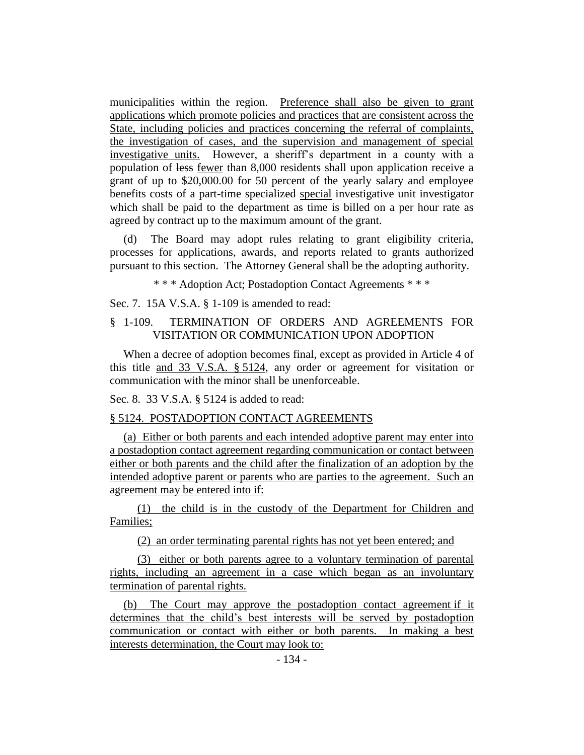municipalities within the region. Preference shall also be given to grant applications which promote policies and practices that are consistent across the State, including policies and practices concerning the referral of complaints, the investigation of cases, and the supervision and management of special investigative units. However, a sheriff's department in a county with a population of less fewer than 8,000 residents shall upon application receive a grant of up to \$20,000.00 for 50 percent of the yearly salary and employee benefits costs of a part-time specialized special investigative unit investigator which shall be paid to the department as time is billed on a per hour rate as agreed by contract up to the maximum amount of the grant.

(d) The Board may adopt rules relating to grant eligibility criteria, processes for applications, awards, and reports related to grants authorized pursuant to this section. The Attorney General shall be the adopting authority.

\* \* \* Adoption Act; Postadoption Contact Agreements \* \* \*

Sec. 7. 15A V.S.A. § 1-109 is amended to read:

## § 1-109. TERMINATION OF ORDERS AND AGREEMENTS FOR VISITATION OR COMMUNICATION UPON ADOPTION

When a decree of adoption becomes final, except as provided in Article 4 of this title and 33 V.S.A. § 5124, any order or agreement for visitation or communication with the minor shall be unenforceable.

Sec. 8. 33 V.S.A. § 5124 is added to read:

## § 5124. POSTADOPTION CONTACT AGREEMENTS

(a) Either or both parents and each intended adoptive parent may enter into a postadoption contact agreement regarding communication or contact between either or both parents and the child after the finalization of an adoption by the intended adoptive parent or parents who are parties to the agreement. Such an agreement may be entered into if:

(1) the child is in the custody of the Department for Children and Families;

(2) an order terminating parental rights has not yet been entered; and

(3) either or both parents agree to a voluntary termination of parental rights, including an agreement in a case which began as an involuntary termination of parental rights.

(b) The Court may approve the postadoption contact agreement if it determines that the child's best interests will be served by postadoption communication or contact with either or both parents. In making a best interests determination, the Court may look to: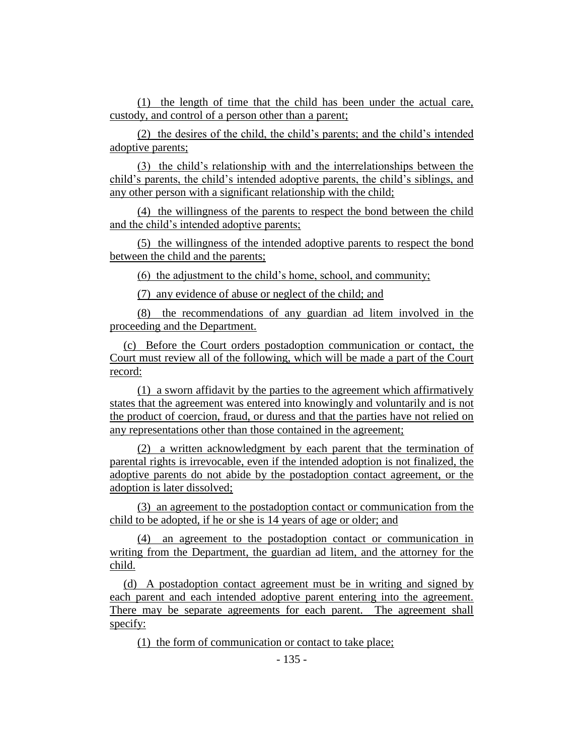(1) the length of time that the child has been under the actual care, custody, and control of a person other than a parent;

(2) the desires of the child, the child's parents; and the child's intended adoptive parents;

(3) the child's relationship with and the interrelationships between the child's parents, the child's intended adoptive parents, the child's siblings, and any other person with a significant relationship with the child;

(4) the willingness of the parents to respect the bond between the child and the child's intended adoptive parents;

(5) the willingness of the intended adoptive parents to respect the bond between the child and the parents;

(6) the adjustment to the child's home, school, and community;

(7) any evidence of abuse or neglect of the child; and

(8) the recommendations of any guardian ad litem involved in the proceeding and the Department.

(c) Before the Court orders postadoption communication or contact, the Court must review all of the following, which will be made a part of the Court record:

(1) a sworn affidavit by the parties to the agreement which affirmatively states that the agreement was entered into knowingly and voluntarily and is not the product of coercion, fraud, or duress and that the parties have not relied on any representations other than those contained in the agreement;

(2) a written acknowledgment by each parent that the termination of parental rights is irrevocable, even if the intended adoption is not finalized, the adoptive parents do not abide by the postadoption contact agreement, or the adoption is later dissolved;

(3) an agreement to the postadoption contact or communication from the child to be adopted, if he or she is 14 years of age or older; and

(4) an agreement to the postadoption contact or communication in writing from the Department, the guardian ad litem, and the attorney for the child.

(d) A postadoption contact agreement must be in writing and signed by each parent and each intended adoptive parent entering into the agreement. There may be separate agreements for each parent. The agreement shall specify:

(1) the form of communication or contact to take place;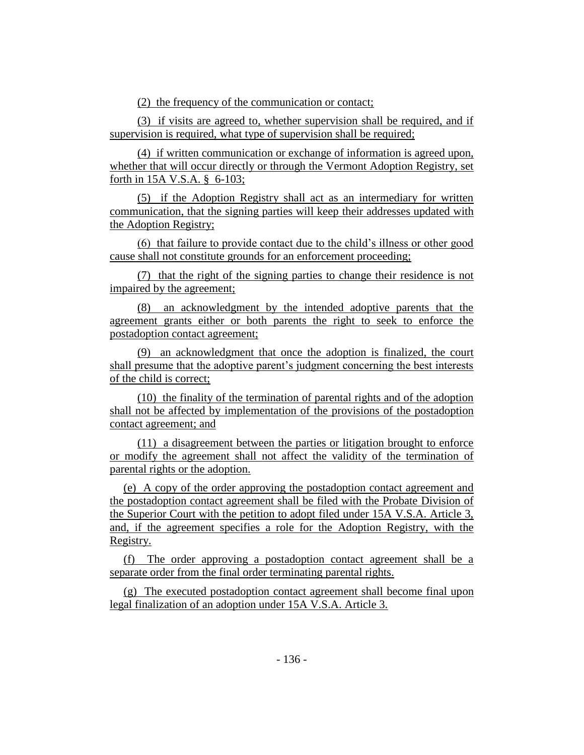(2) the frequency of the communication or contact;

(3) if visits are agreed to, whether supervision shall be required, and if supervision is required, what type of supervision shall be required;

(4) if written communication or exchange of information is agreed upon, whether that will occur directly or through the Vermont Adoption Registry, set forth in 15A V.S.A. § 6-103;

(5) if the Adoption Registry shall act as an intermediary for written communication, that the signing parties will keep their addresses updated with the Adoption Registry;

(6) that failure to provide contact due to the child's illness or other good cause shall not constitute grounds for an enforcement proceeding;

(7) that the right of the signing parties to change their residence is not impaired by the agreement;

(8) an acknowledgment by the intended adoptive parents that the agreement grants either or both parents the right to seek to enforce the postadoption contact agreement;

(9) an acknowledgment that once the adoption is finalized, the court shall presume that the adoptive parent's judgment concerning the best interests of the child is correct;

(10) the finality of the termination of parental rights and of the adoption shall not be affected by implementation of the provisions of the postadoption contact agreement; and

(11) a disagreement between the parties or litigation brought to enforce or modify the agreement shall not affect the validity of the termination of parental rights or the adoption.

(e) A copy of the order approving the postadoption contact agreement and the postadoption contact agreement shall be filed with the Probate Division of the Superior Court with the petition to adopt filed under 15A V.S.A. Article 3, and, if the agreement specifies a role for the Adoption Registry, with the Registry.

(f) The order approving a postadoption contact agreement shall be a separate order from the final order terminating parental rights.

(g) The executed postadoption contact agreement shall become final upon legal finalization of an adoption under 15A V.S.A. Article 3.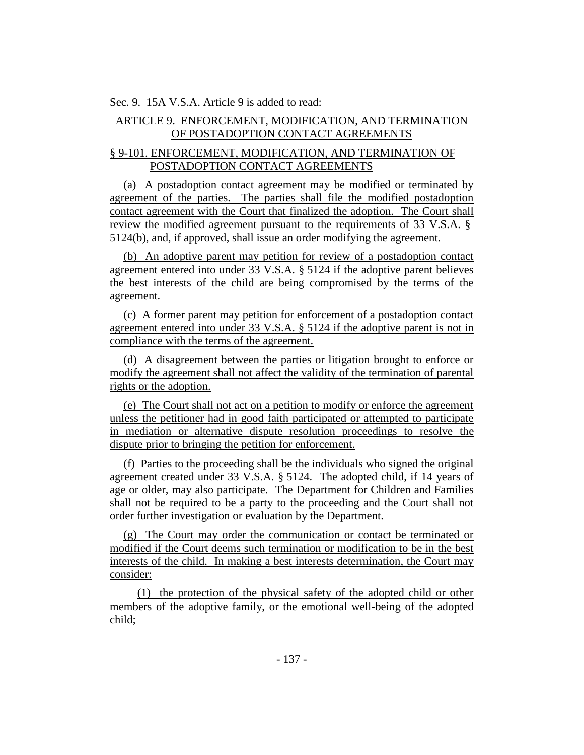Sec. 9. 15A V.S.A. Article 9 is added to read:

## ARTICLE 9. ENFORCEMENT, MODIFICATION, AND TERMINATION OF POSTADOPTION CONTACT AGREEMENTS

## § 9-101. ENFORCEMENT, MODIFICATION, AND TERMINATION OF POSTADOPTION CONTACT AGREEMENTS

(a) A postadoption contact agreement may be modified or terminated by agreement of the parties. The parties shall file the modified postadoption contact agreement with the Court that finalized the adoption. The Court shall review the modified agreement pursuant to the requirements of 33 V.S.A. § 5124(b), and, if approved, shall issue an order modifying the agreement.

(b) An adoptive parent may petition for review of a postadoption contact agreement entered into under 33 V.S.A. § 5124 if the adoptive parent believes the best interests of the child are being compromised by the terms of the agreement.

(c) A former parent may petition for enforcement of a postadoption contact agreement entered into under 33 V.S.A. § 5124 if the adoptive parent is not in compliance with the terms of the agreement.

(d) A disagreement between the parties or litigation brought to enforce or modify the agreement shall not affect the validity of the termination of parental rights or the adoption.

(e) The Court shall not act on a petition to modify or enforce the agreement unless the petitioner had in good faith participated or attempted to participate in mediation or alternative dispute resolution proceedings to resolve the dispute prior to bringing the petition for enforcement.

(f) Parties to the proceeding shall be the individuals who signed the original agreement created under 33 V.S.A. § 5124. The adopted child, if 14 years of age or older, may also participate. The Department for Children and Families shall not be required to be a party to the proceeding and the Court shall not order further investigation or evaluation by the Department.

(g) The Court may order the communication or contact be terminated or modified if the Court deems such termination or modification to be in the best interests of the child. In making a best interests determination, the Court may consider:

(1) the protection of the physical safety of the adopted child or other members of the adoptive family, or the emotional well-being of the adopted child;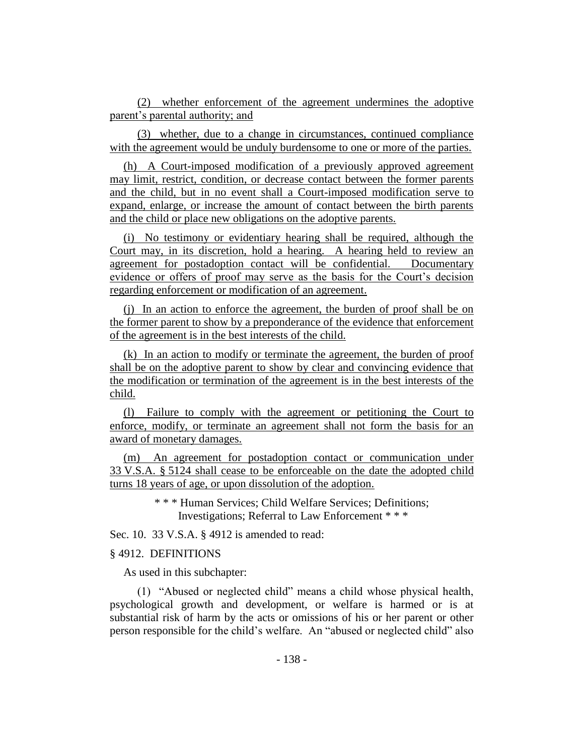(2) whether enforcement of the agreement undermines the adoptive parent's parental authority; and

(3) whether, due to a change in circumstances, continued compliance with the agreement would be unduly burdensome to one or more of the parties.

(h) A Court-imposed modification of a previously approved agreement may limit, restrict, condition, or decrease contact between the former parents and the child, but in no event shall a Court-imposed modification serve to expand, enlarge, or increase the amount of contact between the birth parents and the child or place new obligations on the adoptive parents.

(i) No testimony or evidentiary hearing shall be required, although the Court may, in its discretion, hold a hearing. A hearing held to review an agreement for postadoption contact will be confidential. Documentary evidence or offers of proof may serve as the basis for the Court's decision regarding enforcement or modification of an agreement.

(j) In an action to enforce the agreement, the burden of proof shall be on the former parent to show by a preponderance of the evidence that enforcement of the agreement is in the best interests of the child.

(k) In an action to modify or terminate the agreement, the burden of proof shall be on the adoptive parent to show by clear and convincing evidence that the modification or termination of the agreement is in the best interests of the child.

(l) Failure to comply with the agreement or petitioning the Court to enforce, modify, or terminate an agreement shall not form the basis for an award of monetary damages.

(m) An agreement for postadoption contact or communication under 33 V.S.A. § 5124 shall cease to be enforceable on the date the adopted child turns 18 years of age, or upon dissolution of the adoption.

> \* \* \* Human Services; Child Welfare Services; Definitions; Investigations; Referral to Law Enforcement \* \* \*

Sec. 10. 33 V.S.A. § 4912 is amended to read:

#### § 4912. DEFINITIONS

As used in this subchapter:

(1) "Abused or neglected child" means a child whose physical health, psychological growth and development, or welfare is harmed or is at substantial risk of harm by the acts or omissions of his or her parent or other person responsible for the child's welfare. An "abused or neglected child" also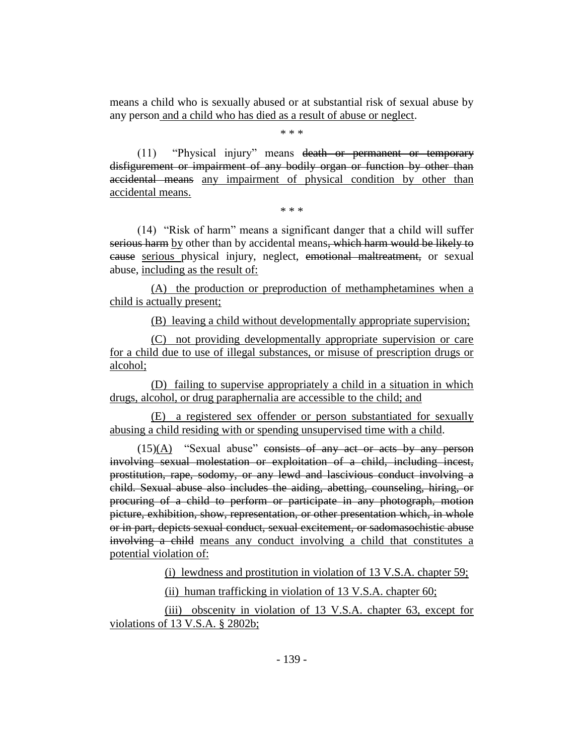means a child who is sexually abused or at substantial risk of sexual abuse by any person and a child who has died as a result of abuse or neglect.

\* \* \*

(11) "Physical injury" means death or permanent or temporary disfigurement or impairment of any bodily organ or function by other than accidental means any impairment of physical condition by other than accidental means.

\* \* \*

(14) "Risk of harm" means a significant danger that a child will suffer serious harm by other than by accidental means, which harm would be likely to cause serious physical injury, neglect, emotional maltreatment, or sexual abuse, including as the result of:

(A) the production or preproduction of methamphetamines when a child is actually present;

(B) leaving a child without developmentally appropriate supervision;

(C) not providing developmentally appropriate supervision or care for a child due to use of illegal substances, or misuse of prescription drugs or alcohol;

(D) failing to supervise appropriately a child in a situation in which drugs, alcohol, or drug paraphernalia are accessible to the child; and

(E) a registered sex offender or person substantiated for sexually abusing a child residing with or spending unsupervised time with a child.

 $(15)(\underline{A})$  "Sexual abuse" consists of any act or acts by any person involving sexual molestation or exploitation of a child, including incest, prostitution, rape, sodomy, or any lewd and lascivious conduct involving a child. Sexual abuse also includes the aiding, abetting, counseling, hiring, or procuring of a child to perform or participate in any photograph, motion picture, exhibition, show, representation, or other presentation which, in whole or in part, depicts sexual conduct, sexual excitement, or sadomasochistic abuse involving a child means any conduct involving a child that constitutes a potential violation of:

(i) lewdness and prostitution in violation of 13 V.S.A. chapter 59;

(ii) human trafficking in violation of 13 V.S.A. chapter 60;

(iii) obscenity in violation of 13 V.S.A. chapter 63, except for violations of 13 V.S.A. § 2802b;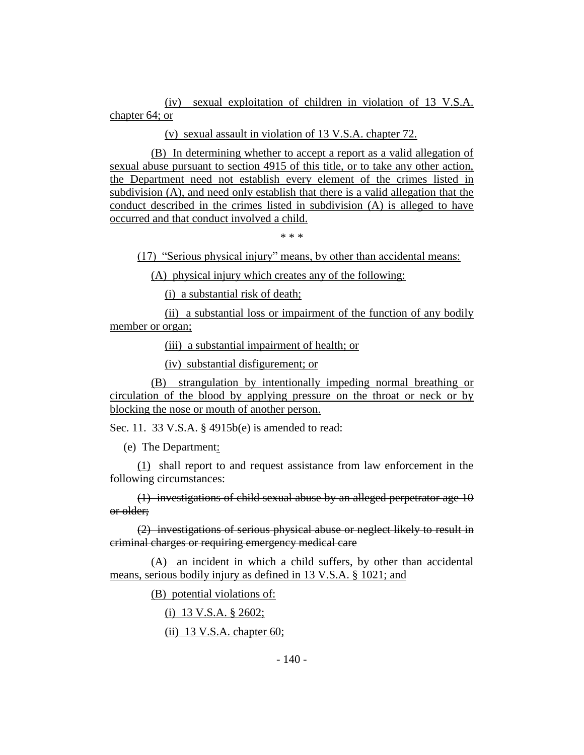(iv) sexual exploitation of children in violation of 13 V.S.A. chapter 64; or

(v) sexual assault in violation of 13 V.S.A. chapter 72.

(B) In determining whether to accept a report as a valid allegation of sexual abuse pursuant to section 4915 of this title, or to take any other action, the Department need not establish every element of the crimes listed in subdivision (A), and need only establish that there is a valid allegation that the conduct described in the crimes listed in subdivision (A) is alleged to have occurred and that conduct involved a child.

\* \* \*

(17) "Serious physical injury" means, by other than accidental means:

(A) physical injury which creates any of the following:

(i) a substantial risk of death;

(ii) a substantial loss or impairment of the function of any bodily member or organ;

(iii) a substantial impairment of health; or

(iv) substantial disfigurement; or

(B) strangulation by intentionally impeding normal breathing or circulation of the blood by applying pressure on the throat or neck or by blocking the nose or mouth of another person.

Sec. 11. 33 V.S.A. § 4915b(e) is amended to read:

(e) The Department:

(1) shall report to and request assistance from law enforcement in the following circumstances:

(1) investigations of child sexual abuse by an alleged perpetrator age 10 or older;

(2) investigations of serious physical abuse or neglect likely to result in criminal charges or requiring emergency medical care

(A) an incident in which a child suffers, by other than accidental means, serious bodily injury as defined in 13 V.S.A. § 1021; and

(B) potential violations of:

(i) 13 V.S.A. § 2602;

(ii) 13 V.S.A. chapter 60;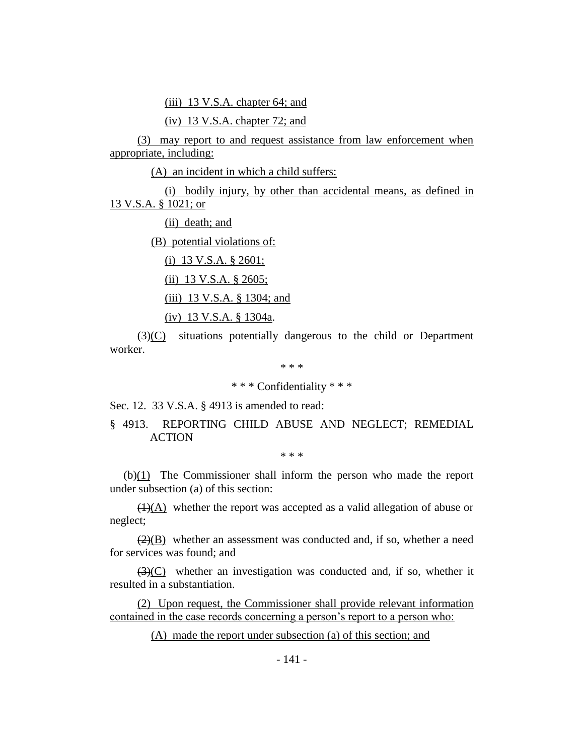(iii) 13 V.S.A. chapter 64; and

(iv) 13 V.S.A. chapter 72; and

(3) may report to and request assistance from law enforcement when appropriate, including:

(A) an incident in which a child suffers:

(i) bodily injury, by other than accidental means, as defined in 13 V.S.A. § 1021; or

(ii) death; and

(B) potential violations of:

(i) 13 V.S.A. § 2601;

(ii) 13 V.S.A. § 2605;

(iii) 13 V.S.A. § 1304; and

(iv) 13 V.S.A. § 1304a.

(3)(C) situations potentially dangerous to the child or Department worker.

\* \* \*

\* \* \* Confidentiality \* \* \*

Sec. 12. 33 V.S.A. § 4913 is amended to read:

## § 4913. REPORTING CHILD ABUSE AND NEGLECT; REMEDIAL **ACTION**

\* \* \*

(b)(1) The Commissioner shall inform the person who made the report under subsection (a) of this section:

 $\overline{(1)(A)}$  whether the report was accepted as a valid allegation of abuse or neglect;

 $(2)(B)$  whether an assessment was conducted and, if so, whether a need for services was found; and

 $(3)(C)$  whether an investigation was conducted and, if so, whether it resulted in a substantiation.

(2) Upon request, the Commissioner shall provide relevant information contained in the case records concerning a person's report to a person who:

(A) made the report under subsection (a) of this section; and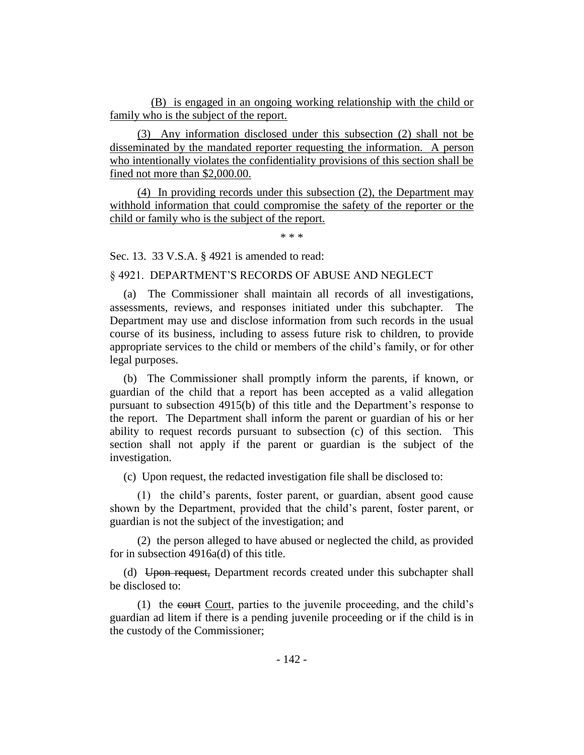(B) is engaged in an ongoing working relationship with the child or family who is the subject of the report.

(3) Any information disclosed under this subsection (2) shall not be disseminated by the mandated reporter requesting the information. A person who intentionally violates the confidentiality provisions of this section shall be fined not more than \$2,000.00.

(4) In providing records under this subsection (2), the Department may withhold information that could compromise the safety of the reporter or the child or family who is the subject of the report.

\* \* \*

Sec. 13. 33 V.S.A. § 4921 is amended to read:

§ 4921. DEPARTMENT'S RECORDS OF ABUSE AND NEGLECT

(a) The Commissioner shall maintain all records of all investigations, assessments, reviews, and responses initiated under this subchapter. The Department may use and disclose information from such records in the usual course of its business, including to assess future risk to children, to provide appropriate services to the child or members of the child's family, or for other legal purposes.

(b) The Commissioner shall promptly inform the parents, if known, or guardian of the child that a report has been accepted as a valid allegation pursuant to subsection 4915(b) of this title and the Department's response to the report. The Department shall inform the parent or guardian of his or her ability to request records pursuant to subsection (c) of this section. This section shall not apply if the parent or guardian is the subject of the investigation.

(c) Upon request, the redacted investigation file shall be disclosed to:

(1) the child's parents, foster parent, or guardian, absent good cause shown by the Department, provided that the child's parent, foster parent, or guardian is not the subject of the investigation; and

(2) the person alleged to have abused or neglected the child, as provided for in subsection 4916a(d) of this title.

(d) Upon request, Department records created under this subchapter shall be disclosed to:

(1) the eourt Court, parties to the juvenile proceeding, and the child's guardian ad litem if there is a pending juvenile proceeding or if the child is in the custody of the Commissioner;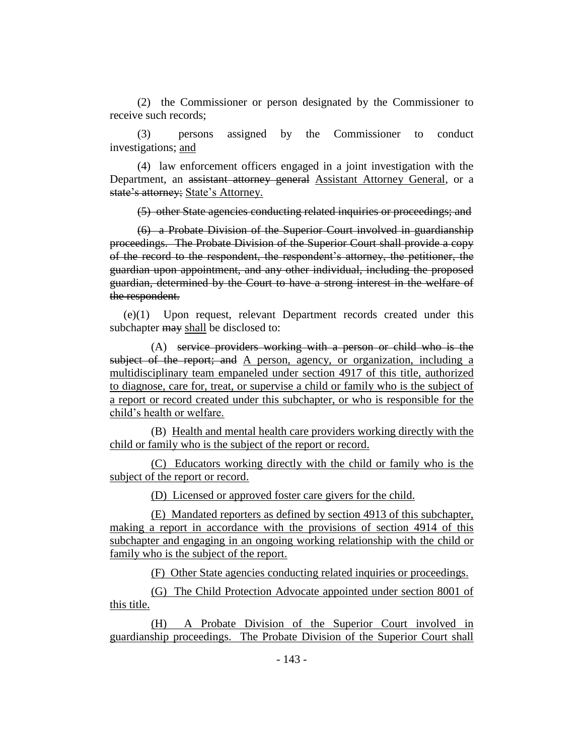(2) the Commissioner or person designated by the Commissioner to receive such records;

(3) persons assigned by the Commissioner to conduct investigations; and

(4) law enforcement officers engaged in a joint investigation with the Department, an assistant attorney general Assistant Attorney General, or a state's attorney; State's Attorney.

(5) other State agencies conducting related inquiries or proceedings; and

(6) a Probate Division of the Superior Court involved in guardianship proceedings. The Probate Division of the Superior Court shall provide a copy of the record to the respondent, the respondent's attorney, the petitioner, the guardian upon appointment, and any other individual, including the proposed guardian, determined by the Court to have a strong interest in the welfare of the respondent.

(e)(1) Upon request, relevant Department records created under this subchapter may shall be disclosed to:

(A) service providers working with a person or child who is the subject of the report; and A person, agency, or organization, including a multidisciplinary team empaneled under section 4917 of this title, authorized to diagnose, care for, treat, or supervise a child or family who is the subject of a report or record created under this subchapter, or who is responsible for the child's health or welfare.

(B) Health and mental health care providers working directly with the child or family who is the subject of the report or record.

(C) Educators working directly with the child or family who is the subject of the report or record.

(D) Licensed or approved foster care givers for the child.

(E) Mandated reporters as defined by section 4913 of this subchapter, making a report in accordance with the provisions of section 4914 of this subchapter and engaging in an ongoing working relationship with the child or family who is the subject of the report.

(F) Other State agencies conducting related inquiries or proceedings.

(G) The Child Protection Advocate appointed under section 8001 of this title.

(H) A Probate Division of the Superior Court involved in guardianship proceedings. The Probate Division of the Superior Court shall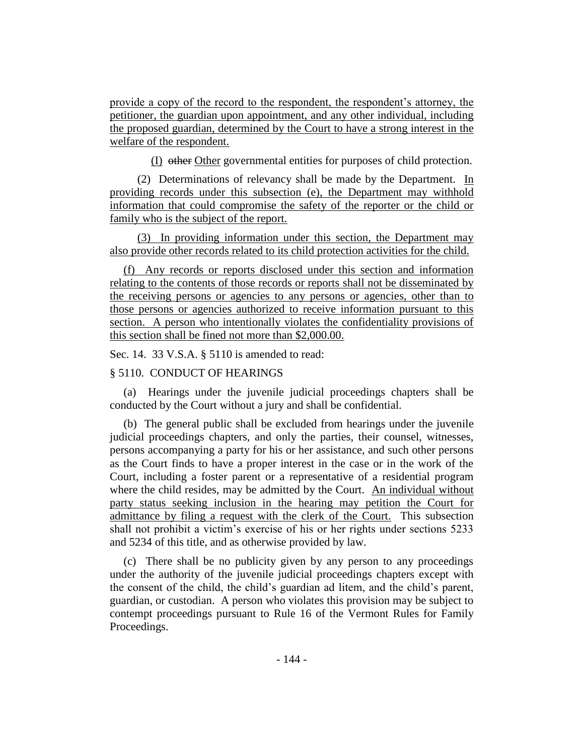provide a copy of the record to the respondent, the respondent's attorney, the petitioner, the guardian upon appointment, and any other individual, including the proposed guardian, determined by the Court to have a strong interest in the welfare of the respondent.

(I) other Other governmental entities for purposes of child protection.

(2) Determinations of relevancy shall be made by the Department. In providing records under this subsection (e), the Department may withhold information that could compromise the safety of the reporter or the child or family who is the subject of the report.

(3) In providing information under this section, the Department may also provide other records related to its child protection activities for the child.

(f) Any records or reports disclosed under this section and information relating to the contents of those records or reports shall not be disseminated by the receiving persons or agencies to any persons or agencies, other than to those persons or agencies authorized to receive information pursuant to this section. A person who intentionally violates the confidentiality provisions of this section shall be fined not more than \$2,000.00.

Sec. 14. 33 V.S.A. § 5110 is amended to read:

#### § 5110. CONDUCT OF HEARINGS

(a) Hearings under the juvenile judicial proceedings chapters shall be conducted by the Court without a jury and shall be confidential.

(b) The general public shall be excluded from hearings under the juvenile judicial proceedings chapters, and only the parties, their counsel, witnesses, persons accompanying a party for his or her assistance, and such other persons as the Court finds to have a proper interest in the case or in the work of the Court, including a foster parent or a representative of a residential program where the child resides, may be admitted by the Court. An individual without party status seeking inclusion in the hearing may petition the Court for admittance by filing a request with the clerk of the Court. This subsection shall not prohibit a victim's exercise of his or her rights under sections 5233 and 5234 of this title, and as otherwise provided by law.

(c) There shall be no publicity given by any person to any proceedings under the authority of the juvenile judicial proceedings chapters except with the consent of the child, the child's guardian ad litem, and the child's parent, guardian, or custodian. A person who violates this provision may be subject to contempt proceedings pursuant to Rule 16 of the Vermont Rules for Family Proceedings.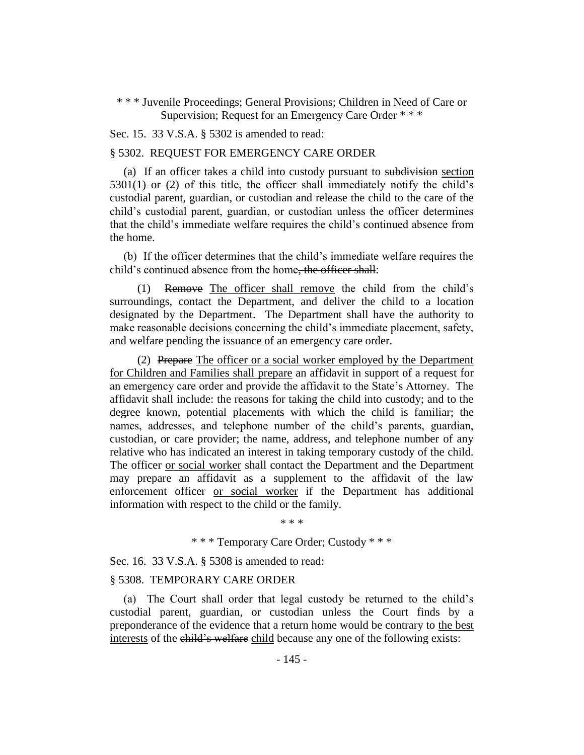\* \* \* Juvenile Proceedings; General Provisions; Children in Need of Care or Supervision; Request for an Emergency Care Order \* \* \*

Sec. 15. 33 V.S.A. § 5302 is amended to read:

#### § 5302. REQUEST FOR EMERGENCY CARE ORDER

(a) If an officer takes a child into custody pursuant to subdivision section  $5301(1)$  or (2) of this title, the officer shall immediately notify the child's custodial parent, guardian, or custodian and release the child to the care of the child's custodial parent, guardian, or custodian unless the officer determines that the child's immediate welfare requires the child's continued absence from the home.

(b) If the officer determines that the child's immediate welfare requires the child's continued absence from the home–the officer shall:

(1) Remove The officer shall remove the child from the child's surroundings, contact the Department, and deliver the child to a location designated by the Department. The Department shall have the authority to make reasonable decisions concerning the child's immediate placement, safety, and welfare pending the issuance of an emergency care order.

(2) Prepare The officer or a social worker employed by the Department for Children and Families shall prepare an affidavit in support of a request for an emergency care order and provide the affidavit to the State's Attorney. The affidavit shall include: the reasons for taking the child into custody; and to the degree known, potential placements with which the child is familiar; the names, addresses, and telephone number of the child's parents, guardian, custodian, or care provider; the name, address, and telephone number of any relative who has indicated an interest in taking temporary custody of the child. The officer or social worker shall contact the Department and the Department may prepare an affidavit as a supplement to the affidavit of the law enforcement officer or social worker if the Department has additional information with respect to the child or the family.

\* \* \*

\* \* \* Temporary Care Order; Custody \* \* \*

Sec. 16. 33 V.S.A. § 5308 is amended to read:

#### § 5308. TEMPORARY CARE ORDER

(a) The Court shall order that legal custody be returned to the child's custodial parent, guardian, or custodian unless the Court finds by a preponderance of the evidence that a return home would be contrary to the best interests of the child's welfare child because any one of the following exists: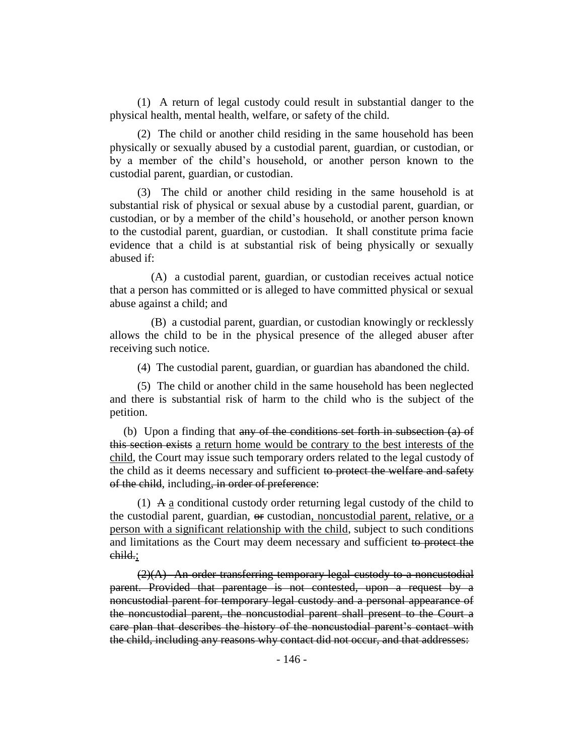(1) A return of legal custody could result in substantial danger to the physical health, mental health, welfare, or safety of the child.

(2) The child or another child residing in the same household has been physically or sexually abused by a custodial parent, guardian, or custodian, or by a member of the child's household, or another person known to the custodial parent, guardian, or custodian.

(3) The child or another child residing in the same household is at substantial risk of physical or sexual abuse by a custodial parent, guardian, or custodian, or by a member of the child's household, or another person known to the custodial parent, guardian, or custodian. It shall constitute prima facie evidence that a child is at substantial risk of being physically or sexually abused if:

(A) a custodial parent, guardian, or custodian receives actual notice that a person has committed or is alleged to have committed physical or sexual abuse against a child; and

(B) a custodial parent, guardian, or custodian knowingly or recklessly allows the child to be in the physical presence of the alleged abuser after receiving such notice.

(4) The custodial parent, guardian, or guardian has abandoned the child.

(5) The child or another child in the same household has been neglected and there is substantial risk of harm to the child who is the subject of the petition.

(b) Upon a finding that any of the conditions set forth in subsection (a) of this section exists a return home would be contrary to the best interests of the child, the Court may issue such temporary orders related to the legal custody of the child as it deems necessary and sufficient to protect the welfare and safety of the child, including, in order of preference:

(1) A a conditional custody order returning legal custody of the child to the custodial parent, guardian,  $\Theta$  custodian, noncustodial parent, relative, or a person with a significant relationship with the child, subject to such conditions and limitations as the Court may deem necessary and sufficient to protect the child.;

 $(2)(A)$  An order transferring temporary legal custody to a noncustodial parent. Provided that parentage is not contested, upon a request by a noncustodial parent for temporary legal custody and a personal appearance of the noncustodial parent, the noncustodial parent shall present to the Court a care plan that describes the history of the noncustodial parent's contact with the child, including any reasons why contact did not occur, and that addresses: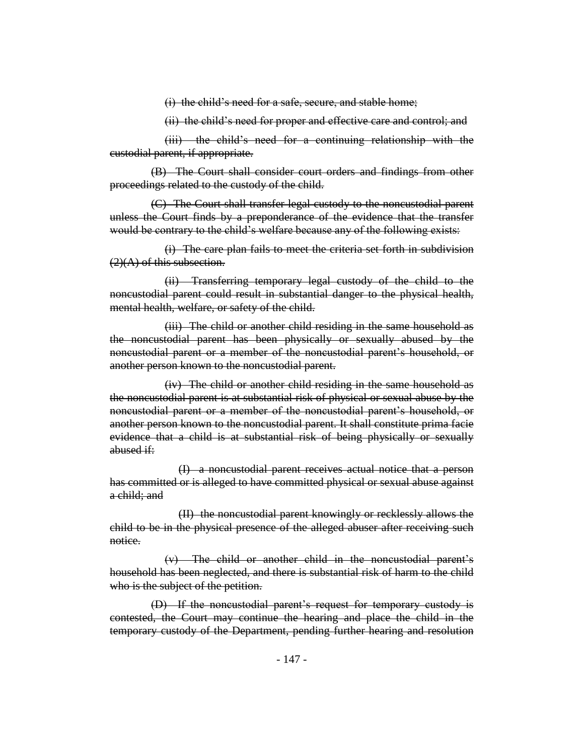(i) the child's need for a safe, secure, and stable home;

(ii) the child's need for proper and effective care and control; and

(iii) the child's need for a continuing relationship with the custodial parent, if appropriate.

(B) The Court shall consider court orders and findings from other proceedings related to the custody of the child.

(C) The Court shall transfer legal custody to the noncustodial parent unless the Court finds by a preponderance of the evidence that the transfer would be contrary to the child's welfare because any of the following exists:

(i) The care plan fails to meet the criteria set forth in subdivision  $(2)(A)$  of this subsection.

(ii) Transferring temporary legal custody of the child to the noncustodial parent could result in substantial danger to the physical health, mental health, welfare, or safety of the child.

(iii) The child or another child residing in the same household as the noncustodial parent has been physically or sexually abused by the noncustodial parent or a member of the noncustodial parent's household, or another person known to the noncustodial parent.

(iv) The child or another child residing in the same household as the noncustodial parent is at substantial risk of physical or sexual abuse by the noncustodial parent or a member of the noncustodial parent's household, or another person known to the noncustodial parent. It shall constitute prima facie evidence that a child is at substantial risk of being physically or sexually abused if:

(I) a noncustodial parent receives actual notice that a person has committed or is alleged to have committed physical or sexual abuse against a child; and

(II) the noncustodial parent knowingly or recklessly allows the child to be in the physical presence of the alleged abuser after receiving such notice.

(v) The child or another child in the noncustodial parent's household has been neglected, and there is substantial risk of harm to the child who is the subject of the petition.

(D) If the noncustodial parent's request for temporary custody is contested, the Court may continue the hearing and place the child in the temporary custody of the Department, pending further hearing and resolution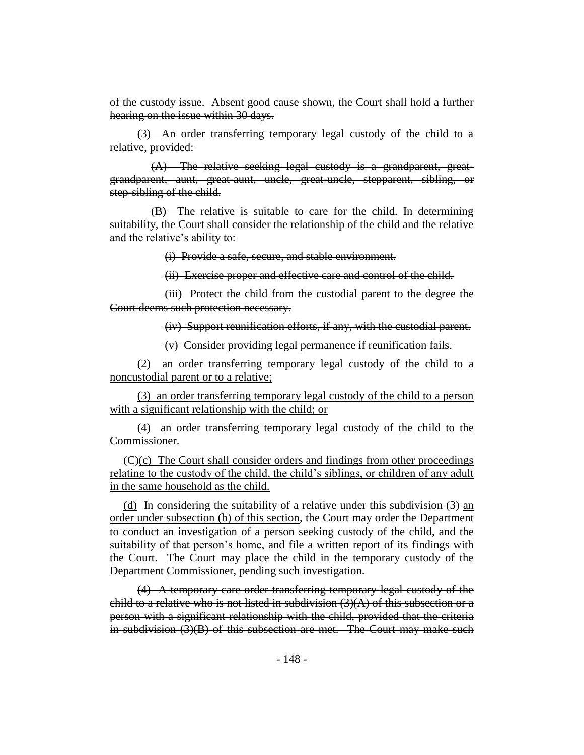of the custody issue. Absent good cause shown, the Court shall hold a further hearing on the issue within 30 days.

(3) An order transferring temporary legal custody of the child to a relative, provided:

(A) The relative seeking legal custody is a grandparent, greatgrandparent, aunt, great-aunt, uncle, great-uncle, stepparent, sibling, or step-sibling of the child.

(B) The relative is suitable to care for the child. In determining suitability, the Court shall consider the relationship of the child and the relative and the relative's ability to:

(i) Provide a safe, secure, and stable environment.

(ii) Exercise proper and effective care and control of the child.

(iii) Protect the child from the custodial parent to the degree the Court deems such protection necessary.

(iv) Support reunification efforts, if any, with the custodial parent.

(v) Consider providing legal permanence if reunification fails.

(2) an order transferring temporary legal custody of the child to a noncustodial parent or to a relative;

(3) an order transferring temporary legal custody of the child to a person with a significant relationship with the child; or

(4) an order transferring temporary legal custody of the child to the Commissioner.

 $(\bigoplus)(c)$  The Court shall consider orders and findings from other proceedings relating to the custody of the child, the child's siblings, or children of any adult in the same household as the child.

(d) In considering the suitability of a relative under this subdivision  $(3)$  an order under subsection (b) of this section, the Court may order the Department to conduct an investigation of a person seeking custody of the child, and the suitability of that person's home, and file a written report of its findings with the Court. The Court may place the child in the temporary custody of the Department Commissioner, pending such investigation.

(4) A temporary care order transferring temporary legal custody of the child to a relative who is not listed in subdivision  $(3)(A)$  of this subsection or a person with a significant relationship with the child, provided that the criteria in subdivision (3)(B) of this subsection are met. The Court may make such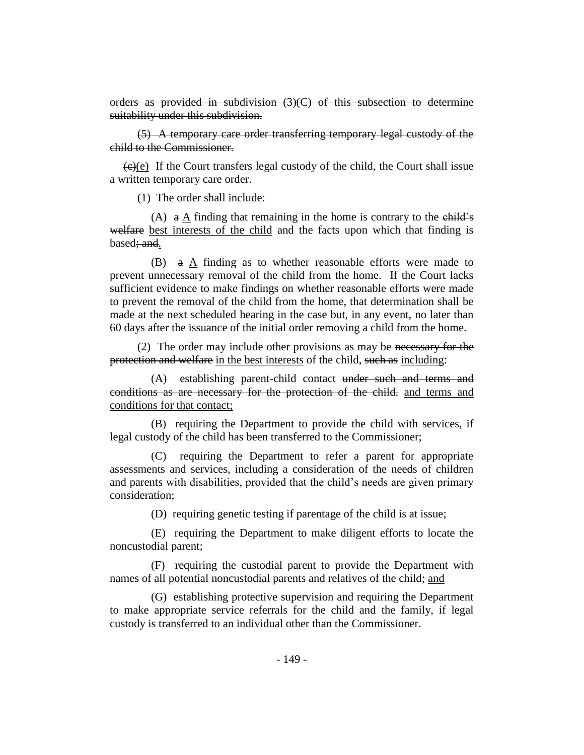orders as provided in subdivision  $(3)(C)$  of this subsection to determine suitability under this subdivision.

(5) A temporary care order transferring temporary legal custody of the child to the Commissioner.

 $\left(\frac{e}{e}\right)$  If the Court transfers legal custody of the child, the Court shall issue a written temporary care order.

(1) The order shall include:

(A)  $\alpha$  A finding that remaining in the home is contrary to the child's welfare best interests of the child and the facts upon which that finding is based; and.

(B)  $a \Delta$  finding as to whether reasonable efforts were made to prevent unnecessary removal of the child from the home. If the Court lacks sufficient evidence to make findings on whether reasonable efforts were made to prevent the removal of the child from the home, that determination shall be made at the next scheduled hearing in the case but, in any event, no later than 60 days after the issuance of the initial order removing a child from the home.

(2) The order may include other provisions as may be necessary for the protection and welfare in the best interests of the child, such as including:

(A) establishing parent-child contact under such and terms and conditions as are necessary for the protection of the child. and terms and conditions for that contact;

(B) requiring the Department to provide the child with services, if legal custody of the child has been transferred to the Commissioner;

(C) requiring the Department to refer a parent for appropriate assessments and services, including a consideration of the needs of children and parents with disabilities, provided that the child's needs are given primary consideration;

(D) requiring genetic testing if parentage of the child is at issue;

(E) requiring the Department to make diligent efforts to locate the noncustodial parent;

(F) requiring the custodial parent to provide the Department with names of all potential noncustodial parents and relatives of the child; and

(G) establishing protective supervision and requiring the Department to make appropriate service referrals for the child and the family, if legal custody is transferred to an individual other than the Commissioner.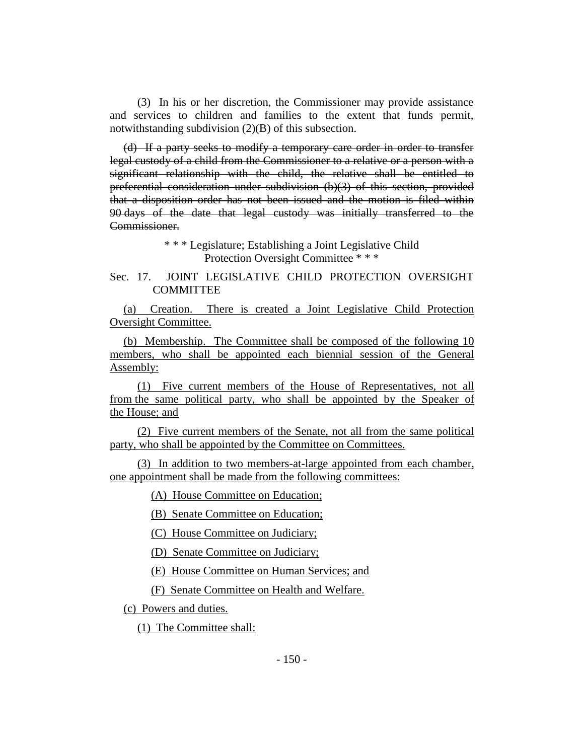(3) In his or her discretion, the Commissioner may provide assistance and services to children and families to the extent that funds permit, notwithstanding subdivision (2)(B) of this subsection.

(d) If a party seeks to modify a temporary care order in order to transfer legal custody of a child from the Commissioner to a relative or a person with a significant relationship with the child, the relative shall be entitled to preferential consideration under subdivision (b)(3) of this section, provided that a disposition order has not been issued and the motion is filed within 90 days of the date that legal custody was initially transferred to the Commissioner.

> \* \* \* Legislature; Establishing a Joint Legislative Child Protection Oversight Committee \* \* \*

## Sec. 17. JOINT LEGISLATIVE CHILD PROTECTION OVERSIGHT **COMMITTEE**

(a) Creation. There is created a Joint Legislative Child Protection Oversight Committee.

(b) Membership. The Committee shall be composed of the following 10 members, who shall be appointed each biennial session of the General Assembly:

(1) Five current members of the House of Representatives, not all from the same political party, who shall be appointed by the Speaker of the House; and

(2) Five current members of the Senate, not all from the same political party, who shall be appointed by the Committee on Committees.

(3) In addition to two members-at-large appointed from each chamber, one appointment shall be made from the following committees:

(A) House Committee on Education;

(B) Senate Committee on Education;

(C) House Committee on Judiciary;

(D) Senate Committee on Judiciary;

(E) House Committee on Human Services; and

(F) Senate Committee on Health and Welfare.

(c) Powers and duties.

(1) The Committee shall: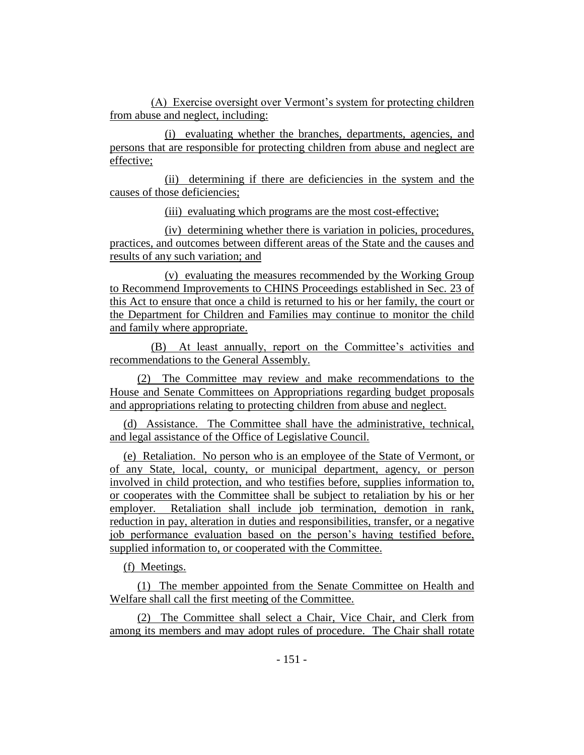(A) Exercise oversight over Vermont's system for protecting children from abuse and neglect, including:

(i) evaluating whether the branches, departments, agencies, and persons that are responsible for protecting children from abuse and neglect are effective;

(ii) determining if there are deficiencies in the system and the causes of those deficiencies;

(iii) evaluating which programs are the most cost-effective;

(iv) determining whether there is variation in policies, procedures, practices, and outcomes between different areas of the State and the causes and results of any such variation; and

(v) evaluating the measures recommended by the Working Group to Recommend Improvements to CHINS Proceedings established in Sec. 23 of this Act to ensure that once a child is returned to his or her family, the court or the Department for Children and Families may continue to monitor the child and family where appropriate.

(B) At least annually, report on the Committee's activities and recommendations to the General Assembly.

(2) The Committee may review and make recommendations to the House and Senate Committees on Appropriations regarding budget proposals and appropriations relating to protecting children from abuse and neglect.

(d) Assistance. The Committee shall have the administrative, technical, and legal assistance of the Office of Legislative Council.

(e) Retaliation. No person who is an employee of the State of Vermont, or of any State, local, county, or municipal department, agency, or person involved in child protection, and who testifies before, supplies information to, or cooperates with the Committee shall be subject to retaliation by his or her employer. Retaliation shall include job termination, demotion in rank, reduction in pay, alteration in duties and responsibilities, transfer, or a negative job performance evaluation based on the person's having testified before, supplied information to, or cooperated with the Committee.

(f) Meetings.

(1) The member appointed from the Senate Committee on Health and Welfare shall call the first meeting of the Committee.

(2) The Committee shall select a Chair, Vice Chair, and Clerk from among its members and may adopt rules of procedure. The Chair shall rotate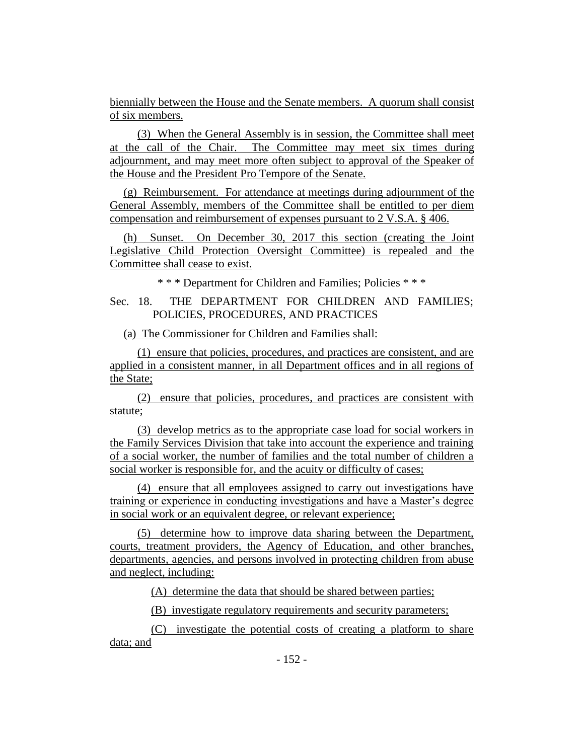biennially between the House and the Senate members. A quorum shall consist of six members.

(3) When the General Assembly is in session, the Committee shall meet at the call of the Chair. The Committee may meet six times during adjournment, and may meet more often subject to approval of the Speaker of the House and the President Pro Tempore of the Senate.

(g) Reimbursement. For attendance at meetings during adjournment of the General Assembly, members of the Committee shall be entitled to per diem compensation and reimbursement of expenses pursuant to 2 V.S.A. § 406.

(h) Sunset. On December 30, 2017 this section (creating the Joint Legislative Child Protection Oversight Committee) is repealed and the Committee shall cease to exist.

\* \* \* Department for Children and Families; Policies \* \* \*

## Sec. 18. THE DEPARTMENT FOR CHILDREN AND FAMILIES; POLICIES, PROCEDURES, AND PRACTICES

(a) The Commissioner for Children and Families shall:

(1) ensure that policies, procedures, and practices are consistent, and are applied in a consistent manner, in all Department offices and in all regions of the State;

(2) ensure that policies, procedures, and practices are consistent with statute;

(3) develop metrics as to the appropriate case load for social workers in the Family Services Division that take into account the experience and training of a social worker, the number of families and the total number of children a social worker is responsible for, and the acuity or difficulty of cases;

(4) ensure that all employees assigned to carry out investigations have training or experience in conducting investigations and have a Master's degree in social work or an equivalent degree, or relevant experience;

(5) determine how to improve data sharing between the Department, courts, treatment providers, the Agency of Education, and other branches, departments, agencies, and persons involved in protecting children from abuse and neglect, including:

(A) determine the data that should be shared between parties;

(B) investigate regulatory requirements and security parameters;

(C) investigate the potential costs of creating a platform to share data; and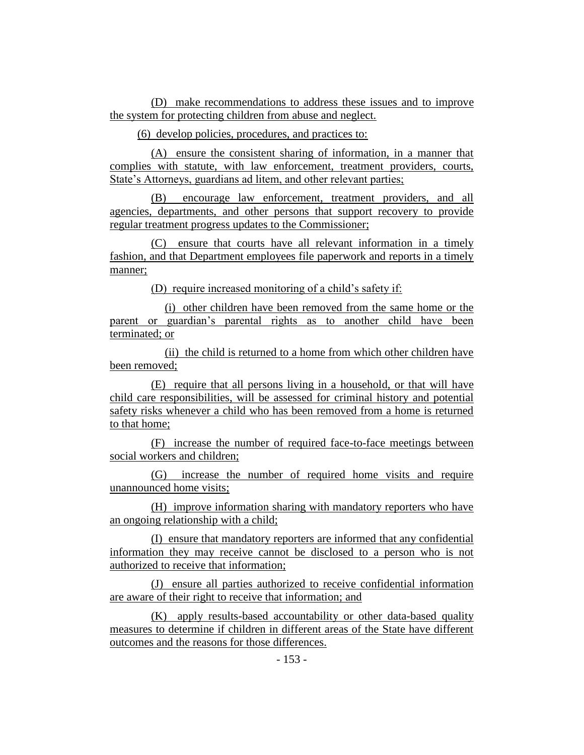(D) make recommendations to address these issues and to improve the system for protecting children from abuse and neglect.

(6) develop policies, procedures, and practices to:

(A) ensure the consistent sharing of information, in a manner that complies with statute, with law enforcement, treatment providers, courts, State's Attorneys, guardians ad litem, and other relevant parties;

(B) encourage law enforcement, treatment providers, and all agencies, departments, and other persons that support recovery to provide regular treatment progress updates to the Commissioner;

(C) ensure that courts have all relevant information in a timely fashion, and that Department employees file paperwork and reports in a timely manner;

(D) require increased monitoring of a child's safety if:

(i) other children have been removed from the same home or the parent or guardian's parental rights as to another child have been terminated; or

(ii) the child is returned to a home from which other children have been removed;

(E) require that all persons living in a household, or that will have child care responsibilities, will be assessed for criminal history and potential safety risks whenever a child who has been removed from a home is returned to that home;

(F) increase the number of required face-to-face meetings between social workers and children;

(G) increase the number of required home visits and require unannounced home visits;

(H) improve information sharing with mandatory reporters who have an ongoing relationship with a child;

(I) ensure that mandatory reporters are informed that any confidential information they may receive cannot be disclosed to a person who is not authorized to receive that information;

(J) ensure all parties authorized to receive confidential information are aware of their right to receive that information; and

(K) apply results-based accountability or other data-based quality measures to determine if children in different areas of the State have different outcomes and the reasons for those differences.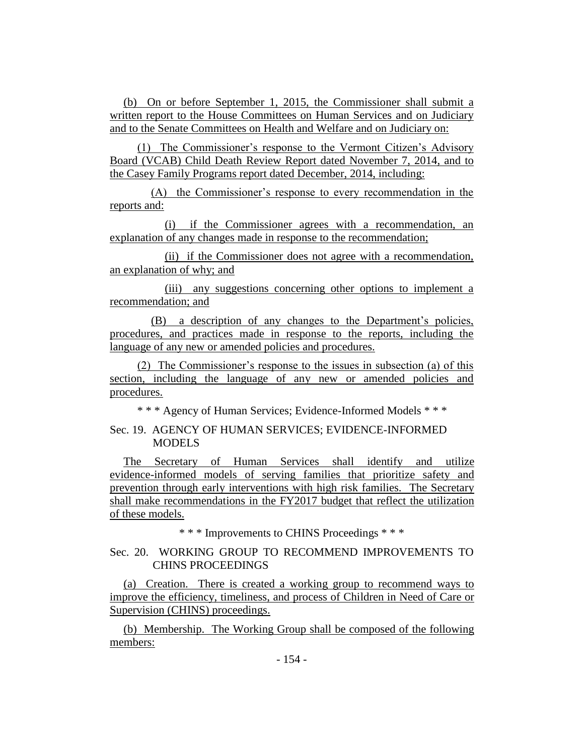(b) On or before September 1, 2015, the Commissioner shall submit a written report to the House Committees on Human Services and on Judiciary and to the Senate Committees on Health and Welfare and on Judiciary on:

(1) The Commissioner's response to the Vermont Citizen's Advisory Board (VCAB) Child Death Review Report dated November 7, 2014, and to the Casey Family Programs report dated December, 2014, including:

(A) the Commissioner's response to every recommendation in the reports and:

(i) if the Commissioner agrees with a recommendation, an explanation of any changes made in response to the recommendation;

(ii) if the Commissioner does not agree with a recommendation, an explanation of why; and

(iii) any suggestions concerning other options to implement a recommendation; and

(B) a description of any changes to the Department's policies, procedures, and practices made in response to the reports, including the language of any new or amended policies and procedures.

(2) The Commissioner's response to the issues in subsection (a) of this section, including the language of any new or amended policies and procedures.

\* \* \* Agency of Human Services; Evidence-Informed Models \* \* \*

## Sec. 19. AGENCY OF HUMAN SERVICES; EVIDENCE-INFORMED **MODELS**

The Secretary of Human Services shall identify and utilize evidence-informed models of serving families that prioritize safety and prevention through early interventions with high risk families. The Secretary shall make recommendations in the FY2017 budget that reflect the utilization of these models.

\* \* \* Improvements to CHINS Proceedings \* \* \*

## Sec. 20. WORKING GROUP TO RECOMMEND IMPROVEMENTS TO CHINS PROCEEDINGS

(a) Creation. There is created a working group to recommend ways to improve the efficiency, timeliness, and process of Children in Need of Care or Supervision (CHINS) proceedings.

(b) Membership. The Working Group shall be composed of the following members: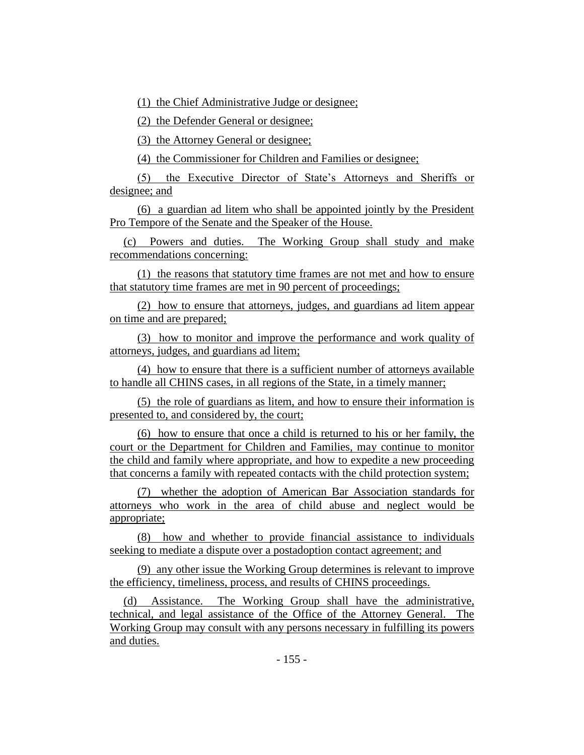(1) the Chief Administrative Judge or designee;

(2) the Defender General or designee;

(3) the Attorney General or designee;

(4) the Commissioner for Children and Families or designee;

(5) the Executive Director of State's Attorneys and Sheriffs or designee; and

(6) a guardian ad litem who shall be appointed jointly by the President Pro Tempore of the Senate and the Speaker of the House.

(c) Powers and duties. The Working Group shall study and make recommendations concerning:

(1) the reasons that statutory time frames are not met and how to ensure that statutory time frames are met in 90 percent of proceedings;

(2) how to ensure that attorneys, judges, and guardians ad litem appear on time and are prepared;

(3) how to monitor and improve the performance and work quality of attorneys, judges, and guardians ad litem;

(4) how to ensure that there is a sufficient number of attorneys available to handle all CHINS cases, in all regions of the State, in a timely manner;

(5) the role of guardians as litem, and how to ensure their information is presented to, and considered by, the court;

(6) how to ensure that once a child is returned to his or her family, the court or the Department for Children and Families, may continue to monitor the child and family where appropriate, and how to expedite a new proceeding that concerns a family with repeated contacts with the child protection system;

(7) whether the adoption of American Bar Association standards for attorneys who work in the area of child abuse and neglect would be appropriate;

(8) how and whether to provide financial assistance to individuals seeking to mediate a dispute over a postadoption contact agreement; and

(9) any other issue the Working Group determines is relevant to improve the efficiency, timeliness, process, and results of CHINS proceedings.

(d) Assistance. The Working Group shall have the administrative, technical, and legal assistance of the Office of the Attorney General. The Working Group may consult with any persons necessary in fulfilling its powers and duties.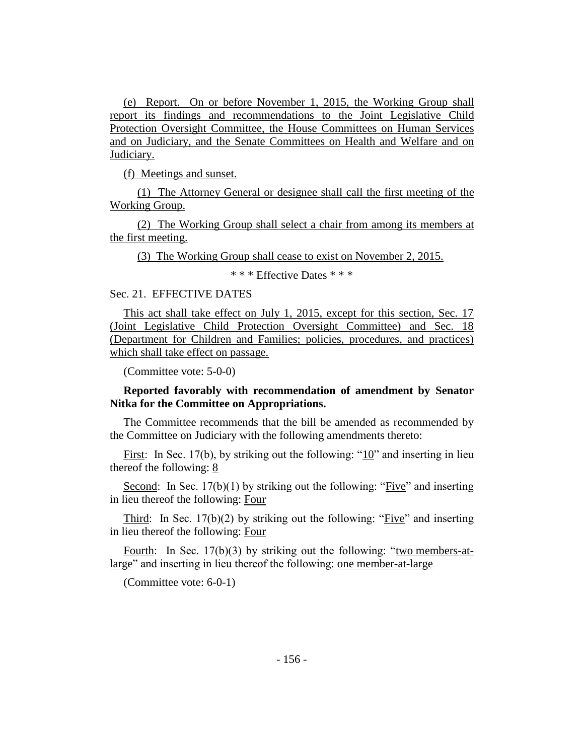(e) Report. On or before November 1, 2015, the Working Group shall report its findings and recommendations to the Joint Legislative Child Protection Oversight Committee, the House Committees on Human Services and on Judiciary, and the Senate Committees on Health and Welfare and on Judiciary.

(f) Meetings and sunset.

(1) The Attorney General or designee shall call the first meeting of the Working Group.

(2) The Working Group shall select a chair from among its members at the first meeting.

(3) The Working Group shall cease to exist on November 2, 2015.

\* \* \* Effective Dates \* \* \*

#### Sec. 21. EFFECTIVE DATES

This act shall take effect on July 1, 2015, except for this section, Sec. 17 (Joint Legislative Child Protection Oversight Committee) and Sec. 18 (Department for Children and Families; policies, procedures, and practices) which shall take effect on passage.

(Committee vote: 5-0-0)

## **Reported favorably with recommendation of amendment by Senator Nitka for the Committee on Appropriations.**

The Committee recommends that the bill be amended as recommended by the Committee on Judiciary with the following amendments thereto:

First: In Sec. 17(b), by striking out the following: " $10$ " and inserting in lieu thereof the following: 8

Second: In Sec. 17(b)(1) by striking out the following: "Five" and inserting in lieu thereof the following: Four

Third: In Sec. 17(b)(2) by striking out the following: "Five" and inserting in lieu thereof the following: Four

Fourth: In Sec. 17(b)(3) by striking out the following: "two members-atlarge" and inserting in lieu thereof the following: one member-at-large

(Committee vote: 6-0-1)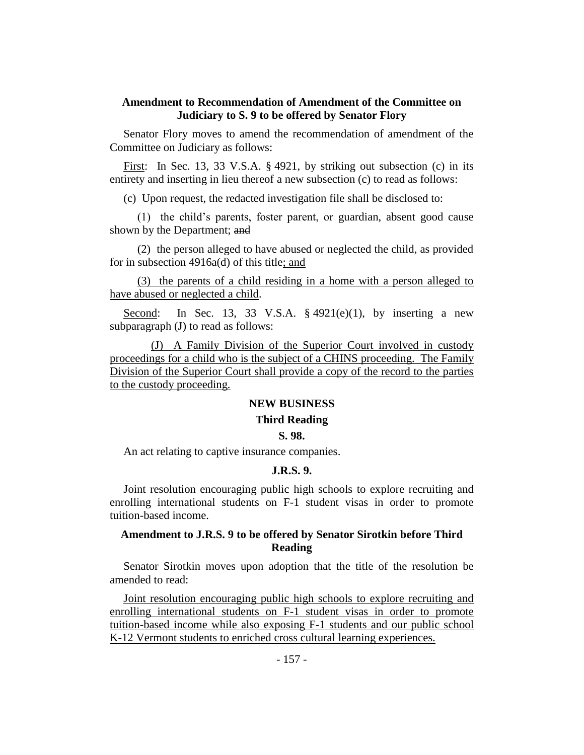## **Amendment to Recommendation of Amendment of the Committee on Judiciary to S. 9 to be offered by Senator Flory**

Senator Flory moves to amend the recommendation of amendment of the Committee on Judiciary as follows:

First: In Sec. 13, 33 V.S.A. § 4921, by striking out subsection (c) in its entirety and inserting in lieu thereof a new subsection (c) to read as follows:

(c) Upon request, the redacted investigation file shall be disclosed to:

(1) the child's parents, foster parent, or guardian, absent good cause shown by the Department; and

(2) the person alleged to have abused or neglected the child, as provided for in subsection 4916a(d) of this title; and

(3) the parents of a child residing in a home with a person alleged to have abused or neglected a child.

Second: In Sec. 13, 33 V.S.A.  $\S$  4921(e)(1), by inserting a new subparagraph (J) to read as follows:

(J) A Family Division of the Superior Court involved in custody proceedings for a child who is the subject of a CHINS proceeding. The Family Division of the Superior Court shall provide a copy of the record to the parties to the custody proceeding.

## **NEW BUSINESS**

#### **Third Reading**

#### **S. 98.**

An act relating to captive insurance companies.

#### **J.R.S. 9.**

Joint resolution encouraging public high schools to explore recruiting and enrolling international students on F-1 student visas in order to promote tuition-based income.

## **Amendment to J.R.S. 9 to be offered by Senator Sirotkin before Third Reading**

Senator Sirotkin moves upon adoption that the title of the resolution be amended to read:

Joint resolution encouraging public high schools to explore recruiting and enrolling international students on F-1 student visas in order to promote tuition-based income while also exposing F-1 students and our public school K-12 Vermont students to enriched cross cultural learning experiences.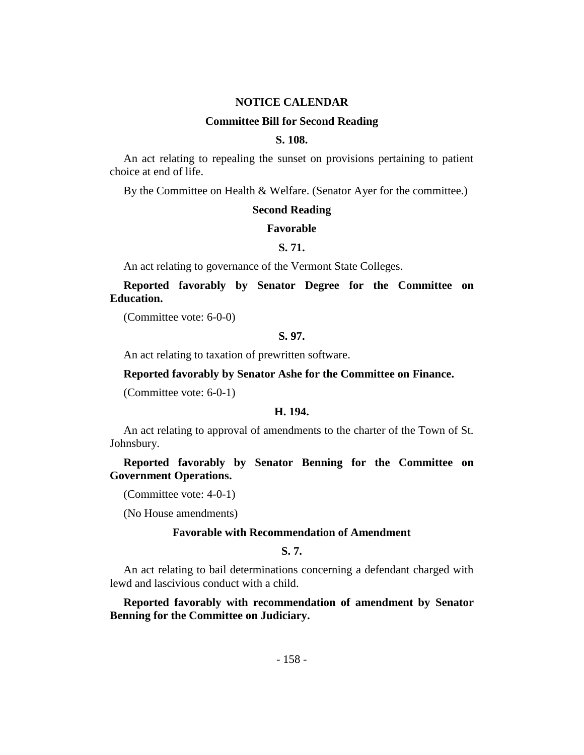#### **NOTICE CALENDAR**

#### **Committee Bill for Second Reading**

## **S. 108.**

An act relating to repealing the sunset on provisions pertaining to patient choice at end of life.

By the Committee on Health & Welfare. (Senator Ayer for the committee.)

#### **Second Reading**

#### **Favorable**

## **S. 71.**

An act relating to governance of the Vermont State Colleges.

**Reported favorably by Senator Degree for the Committee on Education.**

(Committee vote: 6-0-0)

#### **S. 97.**

An act relating to taxation of prewritten software.

#### **Reported favorably by Senator Ashe for the Committee on Finance.**

(Committee vote: 6-0-1)

#### **H. 194.**

An act relating to approval of amendments to the charter of the Town of St. Johnsbury.

## **Reported favorably by Senator Benning for the Committee on Government Operations.**

(Committee vote: 4-0-1)

(No House amendments)

#### **Favorable with Recommendation of Amendment**

## **S. 7.**

An act relating to bail determinations concerning a defendant charged with lewd and lascivious conduct with a child.

## **Reported favorably with recommendation of amendment by Senator Benning for the Committee on Judiciary.**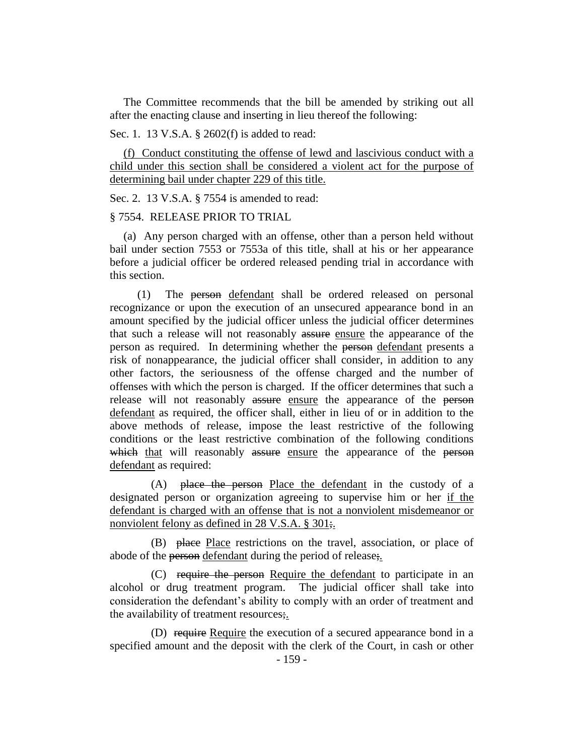The Committee recommends that the bill be amended by striking out all after the enacting clause and inserting in lieu thereof the following:

Sec. 1. 13 V.S.A. § 2602(f) is added to read:

(f) Conduct constituting the offense of lewd and lascivious conduct with a child under this section shall be considered a violent act for the purpose of determining bail under chapter 229 of this title.

Sec. 2. 13 V.S.A. § 7554 is amended to read:

#### § 7554. RELEASE PRIOR TO TRIAL

(a) Any person charged with an offense, other than a person held without bail under section 7553 or 7553a of this title, shall at his or her appearance before a judicial officer be ordered released pending trial in accordance with this section.

(1) The person defendant shall be ordered released on personal recognizance or upon the execution of an unsecured appearance bond in an amount specified by the judicial officer unless the judicial officer determines that such a release will not reasonably assure ensure the appearance of the person as required. In determining whether the person defendant presents a risk of nonappearance, the judicial officer shall consider, in addition to any other factors, the seriousness of the offense charged and the number of offenses with which the person is charged. If the officer determines that such a release will not reasonably assure ensure the appearance of the person defendant as required, the officer shall, either in lieu of or in addition to the above methods of release, impose the least restrictive of the following conditions or the least restrictive combination of the following conditions which that will reasonably assure ensure the appearance of the person defendant as required:

(A) place the person Place the defendant in the custody of a designated person or organization agreeing to supervise him or her if the defendant is charged with an offense that is not a nonviolent misdemeanor or nonviolent felony as defined in 28 V.S.A. § 301;

(B) place Place restrictions on the travel, association, or place of abode of the person defendant during the period of release;.

(C) require the person Require the defendant to participate in an alcohol or drug treatment program. The judicial officer shall take into consideration the defendant's ability to comply with an order of treatment and the availability of treatment resources;.

(D) require Require the execution of a secured appearance bond in a specified amount and the deposit with the clerk of the Court, in cash or other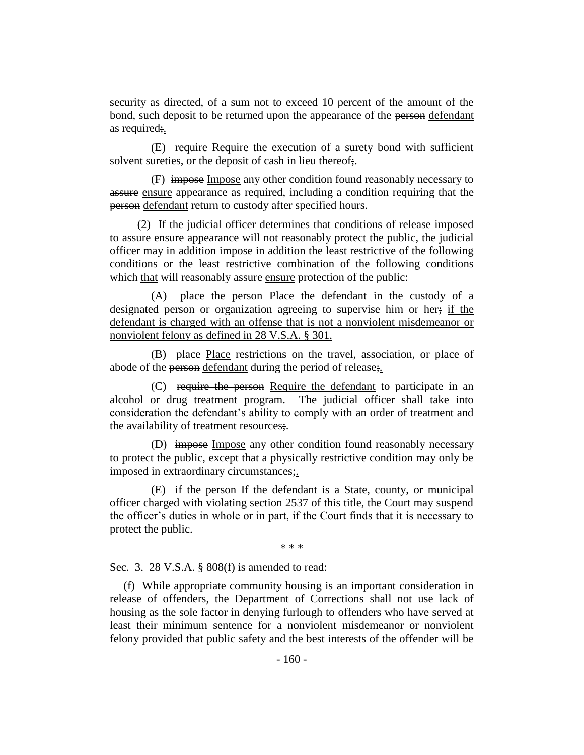security as directed, of a sum not to exceed 10 percent of the amount of the bond, such deposit to be returned upon the appearance of the person defendant as required;.

(E) require Require the execution of a surety bond with sufficient solvent sureties, or the deposit of cash in lieu thereof;.

(F) impose Impose any other condition found reasonably necessary to assure ensure appearance as required, including a condition requiring that the person defendant return to custody after specified hours.

(2) If the judicial officer determines that conditions of release imposed to assure ensure appearance will not reasonably protect the public, the judicial officer may in addition impose in addition the least restrictive of the following conditions or the least restrictive combination of the following conditions which that will reasonably assure ensure protection of the public:

(A) place the person Place the defendant in the custody of a designated person or organization agreeing to supervise him or her; if the defendant is charged with an offense that is not a nonviolent misdemeanor or nonviolent felony as defined in 28 V.S.A. § 301.

(B) place Place restrictions on the travel, association, or place of abode of the person defendant during the period of release;.

(C) require the person Require the defendant to participate in an alcohol or drug treatment program. The judicial officer shall take into consideration the defendant's ability to comply with an order of treatment and the availability of treatment resources;.

(D) impose Impose any other condition found reasonably necessary to protect the public, except that a physically restrictive condition may only be imposed in extraordinary circumstances;

(E) if the person If the defendant is a State, county, or municipal officer charged with violating section 2537 of this title, the Court may suspend the officer's duties in whole or in part, if the Court finds that it is necessary to protect the public.

\* \* \*

Sec. 3. 28 V.S.A. § 808(f) is amended to read:

(f) While appropriate community housing is an important consideration in release of offenders, the Department of Corrections shall not use lack of housing as the sole factor in denying furlough to offenders who have served at least their minimum sentence for a nonviolent misdemeanor or nonviolent felony provided that public safety and the best interests of the offender will be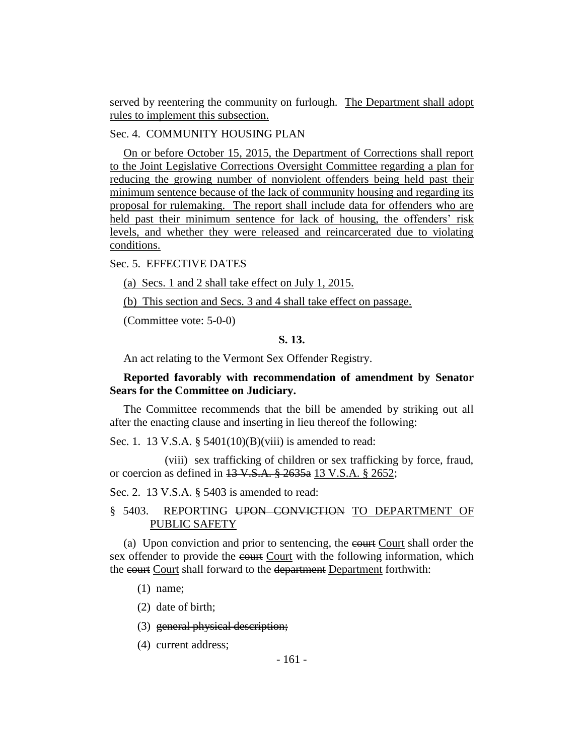served by reentering the community on furlough. The Department shall adopt rules to implement this subsection.

#### Sec. 4. COMMUNITY HOUSING PLAN

On or before October 15, 2015, the Department of Corrections shall report to the Joint Legislative Corrections Oversight Committee regarding a plan for reducing the growing number of nonviolent offenders being held past their minimum sentence because of the lack of community housing and regarding its proposal for rulemaking. The report shall include data for offenders who are held past their minimum sentence for lack of housing, the offenders' risk levels, and whether they were released and reincarcerated due to violating conditions.

## Sec. 5. EFFECTIVE DATES

(a) Secs. 1 and 2 shall take effect on July 1, 2015.

(b) This section and Secs. 3 and 4 shall take effect on passage.

(Committee vote: 5-0-0)

#### **S. 13.**

An act relating to the Vermont Sex Offender Registry.

## **Reported favorably with recommendation of amendment by Senator Sears for the Committee on Judiciary.**

The Committee recommends that the bill be amended by striking out all after the enacting clause and inserting in lieu thereof the following:

Sec. 1. 13 V.S.A. § 5401(10)(B)(viii) is amended to read:

(viii) sex trafficking of children or sex trafficking by force, fraud, or coercion as defined in 13 V.S.A. § 2635a 13 V.S.A. § 2652;

Sec. 2. 13 V.S.A. § 5403 is amended to read:

## § 5403. REPORTING UPON CONVICTION TO DEPARTMENT OF PUBLIC SAFETY

(a) Upon conviction and prior to sentencing, the court Court shall order the sex offender to provide the court Court with the following information, which the court Court shall forward to the department Department forthwith:

(1) name;

(2) date of birth;

(3) general physical description;

(4) current address;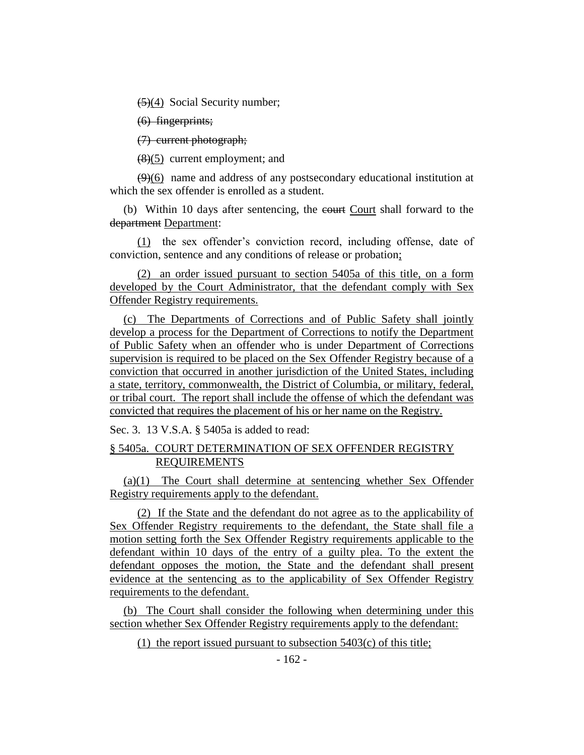(5)(4) Social Security number;

(6) fingerprints;

(7) current photograph;

(8)(5) current employment; and

(9)(6) name and address of any postsecondary educational institution at which the sex offender is enrolled as a student.

(b) Within 10 days after sentencing, the court Court shall forward to the department Department:

(1) the sex offender's conviction record, including offense, date of conviction, sentence and any conditions of release or probation;

(2) an order issued pursuant to section 5405a of this title, on a form developed by the Court Administrator, that the defendant comply with Sex Offender Registry requirements.

(c) The Departments of Corrections and of Public Safety shall jointly develop a process for the Department of Corrections to notify the Department of Public Safety when an offender who is under Department of Corrections supervision is required to be placed on the Sex Offender Registry because of a conviction that occurred in another jurisdiction of the United States, including a state, territory, commonwealth, the District of Columbia, or military, federal, or tribal court. The report shall include the offense of which the defendant was convicted that requires the placement of his or her name on the Registry.

Sec. 3. 13 V.S.A. § 5405a is added to read:

## § 5405a. COURT DETERMINATION OF SEX OFFENDER REGISTRY REQUIREMENTS

(a)(1) The Court shall determine at sentencing whether Sex Offender Registry requirements apply to the defendant.

(2) If the State and the defendant do not agree as to the applicability of Sex Offender Registry requirements to the defendant, the State shall file a motion setting forth the Sex Offender Registry requirements applicable to the defendant within 10 days of the entry of a guilty plea. To the extent the defendant opposes the motion, the State and the defendant shall present evidence at the sentencing as to the applicability of Sex Offender Registry requirements to the defendant.

(b) The Court shall consider the following when determining under this section whether Sex Offender Registry requirements apply to the defendant:

(1) the report issued pursuant to subsection 5403(c) of this title;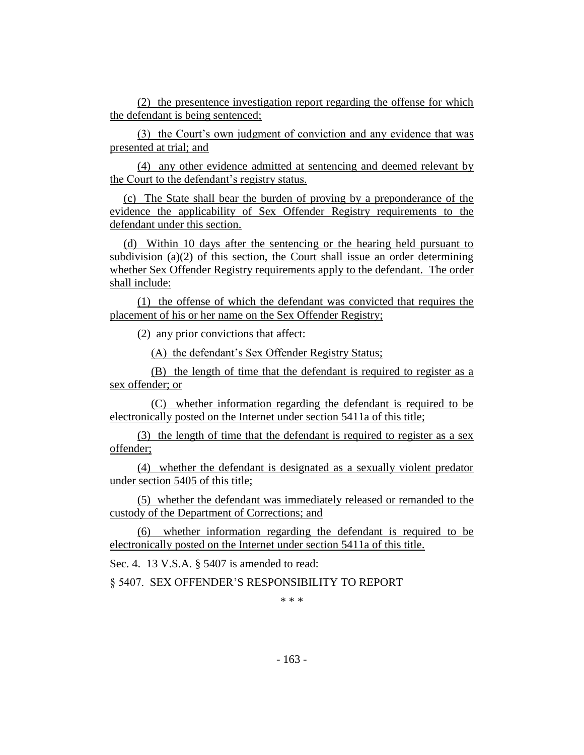(2) the presentence investigation report regarding the offense for which the defendant is being sentenced;

(3) the Court's own judgment of conviction and any evidence that was presented at trial; and

(4) any other evidence admitted at sentencing and deemed relevant by the Court to the defendant's registry status.

(c) The State shall bear the burden of proving by a preponderance of the evidence the applicability of Sex Offender Registry requirements to the defendant under this section.

(d) Within 10 days after the sentencing or the hearing held pursuant to subdivision (a)(2) of this section, the Court shall issue an order determining whether Sex Offender Registry requirements apply to the defendant. The order shall include:

(1) the offense of which the defendant was convicted that requires the placement of his or her name on the Sex Offender Registry;

(2) any prior convictions that affect:

(A) the defendant's Sex Offender Registry Status;

(B) the length of time that the defendant is required to register as a sex offender; or

(C) whether information regarding the defendant is required to be electronically posted on the Internet under section 5411a of this title;

(3) the length of time that the defendant is required to register as a sex offender;

(4) whether the defendant is designated as a sexually violent predator under section 5405 of this title;

(5) whether the defendant was immediately released or remanded to the custody of the Department of Corrections; and

(6) whether information regarding the defendant is required to be electronically posted on the Internet under section 5411a of this title.

Sec. 4. 13 V.S.A. § 5407 is amended to read:

§ 5407. SEX OFFENDER'S RESPONSIBILITY TO REPORT

\* \* \*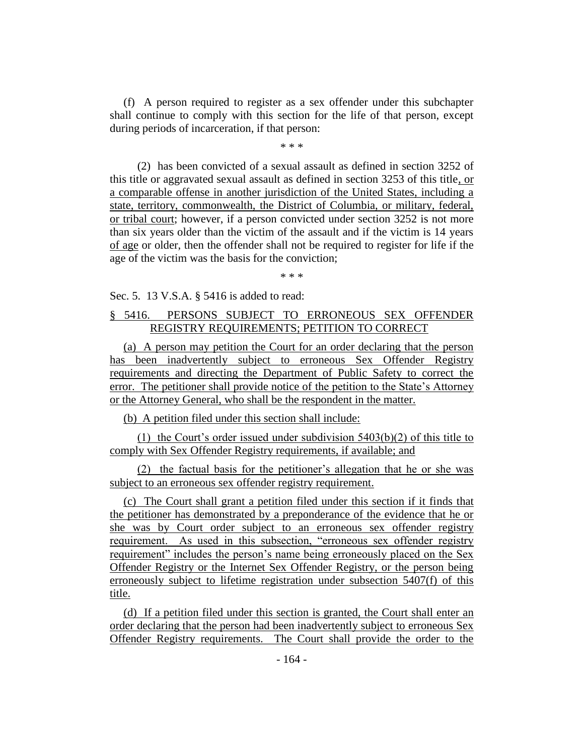(f) A person required to register as a sex offender under this subchapter shall continue to comply with this section for the life of that person, except during periods of incarceration, if that person:

\* \* \*

(2) has been convicted of a sexual assault as defined in section 3252 of this title or aggravated sexual assault as defined in section 3253 of this title, or a comparable offense in another jurisdiction of the United States, including a state, territory, commonwealth, the District of Columbia, or military, federal, or tribal court; however, if a person convicted under section 3252 is not more than six years older than the victim of the assault and if the victim is 14 years of age or older, then the offender shall not be required to register for life if the age of the victim was the basis for the conviction;

\* \* \*

Sec. 5. 13 V.S.A. § 5416 is added to read:

## § 5416. PERSONS SUBJECT TO ERRONEOUS SEX OFFENDER REGISTRY REQUIREMENTS; PETITION TO CORRECT

(a) A person may petition the Court for an order declaring that the person has been inadvertently subject to erroneous Sex Offender Registry requirements and directing the Department of Public Safety to correct the error. The petitioner shall provide notice of the petition to the State's Attorney or the Attorney General, who shall be the respondent in the matter.

(b) A petition filed under this section shall include:

(1) the Court's order issued under subdivision 5403(b)(2) of this title to comply with Sex Offender Registry requirements, if available; and

(2) the factual basis for the petitioner's allegation that he or she was subject to an erroneous sex offender registry requirement.

(c) The Court shall grant a petition filed under this section if it finds that the petitioner has demonstrated by a preponderance of the evidence that he or she was by Court order subject to an erroneous sex offender registry requirement. As used in this subsection, "erroneous sex offender registry requirement" includes the person's name being erroneously placed on the Sex Offender Registry or the Internet Sex Offender Registry, or the person being erroneously subject to lifetime registration under subsection 5407(f) of this title.

(d) If a petition filed under this section is granted, the Court shall enter an order declaring that the person had been inadvertently subject to erroneous Sex Offender Registry requirements. The Court shall provide the order to the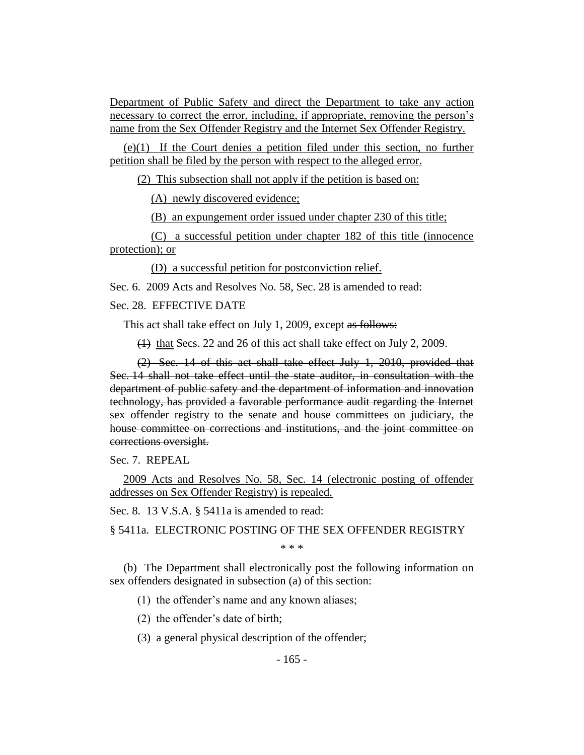Department of Public Safety and direct the Department to take any action necessary to correct the error, including, if appropriate, removing the person's name from the Sex Offender Registry and the Internet Sex Offender Registry.

(e)(1) If the Court denies a petition filed under this section, no further petition shall be filed by the person with respect to the alleged error.

(2) This subsection shall not apply if the petition is based on:

(A) newly discovered evidence;

(B) an expungement order issued under chapter 230 of this title;

(C) a successful petition under chapter 182 of this title (innocence protection); or

(D) a successful petition for postconviction relief.

Sec. 6. 2009 Acts and Resolves No. 58, Sec. 28 is amended to read:

## Sec. 28. EFFECTIVE DATE

This act shall take effect on July 1, 2009, except as follows:

(1) that Secs. 22 and 26 of this act shall take effect on July 2, 2009.

(2) Sec. 14 of this act shall take effect July 1, 2010, provided that Sec. 14 shall not take effect until the state auditor, in consultation with the department of public safety and the department of information and innovation technology, has provided a favorable performance audit regarding the Internet sex offender registry to the senate and house committees on judiciary, the house committee on corrections and institutions, and the joint committee on corrections oversight.

Sec. 7. REPEAL

2009 Acts and Resolves No. 58, Sec. 14 (electronic posting of offender addresses on Sex Offender Registry) is repealed.

Sec. 8. 13 V.S.A. § 5411a is amended to read:

§ 5411a. ELECTRONIC POSTING OF THE SEX OFFENDER REGISTRY

\* \* \*

(b) The Department shall electronically post the following information on sex offenders designated in subsection (a) of this section:

(1) the offender's name and any known aliases;

(2) the offender's date of birth;

(3) a general physical description of the offender;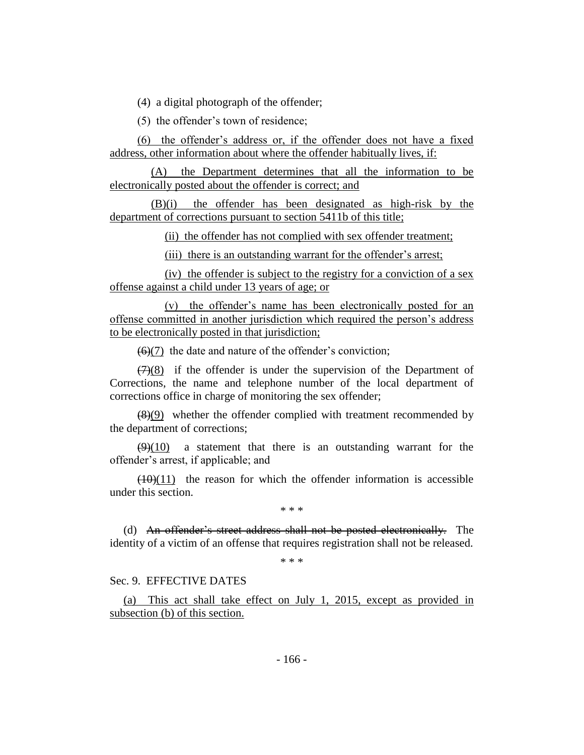(4) a digital photograph of the offender;

(5) the offender's town of residence;

(6) the offender's address or, if the offender does not have a fixed address, other information about where the offender habitually lives, if:

(A) the Department determines that all the information to be electronically posted about the offender is correct; and

(B)(i) the offender has been designated as high-risk by the department of corrections pursuant to section 5411b of this title;

(ii) the offender has not complied with sex offender treatment;

(iii) there is an outstanding warrant for the offender's arrest;

(iv) the offender is subject to the registry for a conviction of a sex offense against a child under 13 years of age; or

(v) the offender's name has been electronically posted for an offense committed in another jurisdiction which required the person's address to be electronically posted in that jurisdiction;

 $(6)(7)$  the date and nature of the offender's conviction;

 $(7)(8)$  if the offender is under the supervision of the Department of Corrections, the name and telephone number of the local department of corrections office in charge of monitoring the sex offender;

 $(8)(9)$  whether the offender complied with treatment recommended by the department of corrections;

 $(9)(10)$  a statement that there is an outstanding warrant for the offender's arrest, if applicable; and

 $(10)(11)$  the reason for which the offender information is accessible under this section.

\* \* \*

(d) An offender's street address shall not be posted electronically. The identity of a victim of an offense that requires registration shall not be released.

\* \* \*

#### Sec. 9. EFFECTIVE DATES

(a) This act shall take effect on July 1, 2015, except as provided in subsection (b) of this section.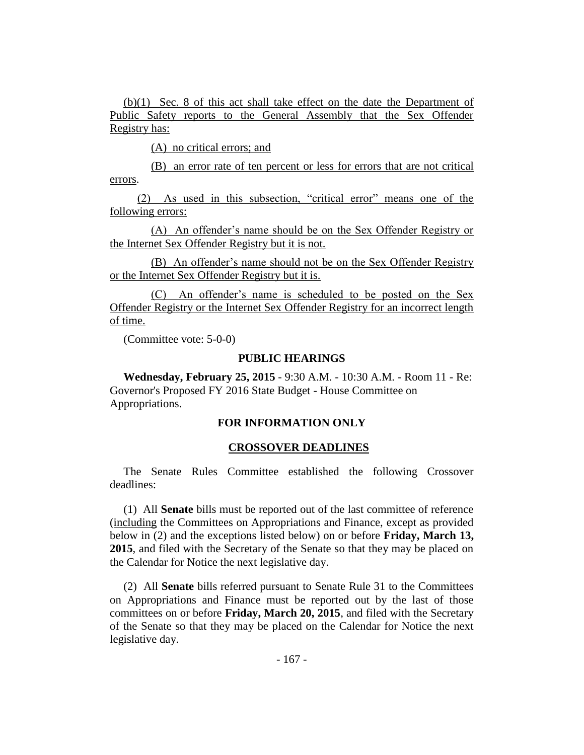(b)(1) Sec. 8 of this act shall take effect on the date the Department of Public Safety reports to the General Assembly that the Sex Offender Registry has:

(A) no critical errors; and

(B) an error rate of ten percent or less for errors that are not critical errors.

(2) As used in this subsection, "critical error" means one of the following errors:

(A) An offender's name should be on the Sex Offender Registry or the Internet Sex Offender Registry but it is not.

(B) An offender's name should not be on the Sex Offender Registry or the Internet Sex Offender Registry but it is.

(C) An offender's name is scheduled to be posted on the Sex Offender Registry or the Internet Sex Offender Registry for an incorrect length of time.

(Committee vote: 5-0-0)

#### **PUBLIC HEARINGS**

**Wednesday, February 25, 2015** - 9:30 A.M. - 10:30 A.M. - Room 11 - Re: Governor's Proposed FY 2016 State Budget - House Committee on Appropriations.

#### **FOR INFORMATION ONLY**

#### **CROSSOVER DEADLINES**

The Senate Rules Committee established the following Crossover deadlines:

(1) All **Senate** bills must be reported out of the last committee of reference (including the Committees on Appropriations and Finance, except as provided below in (2) and the exceptions listed below) on or before **Friday, March 13, 2015**, and filed with the Secretary of the Senate so that they may be placed on the Calendar for Notice the next legislative day.

(2) All **Senate** bills referred pursuant to Senate Rule 31 to the Committees on Appropriations and Finance must be reported out by the last of those committees on or before **Friday, March 20, 2015**, and filed with the Secretary of the Senate so that they may be placed on the Calendar for Notice the next legislative day.